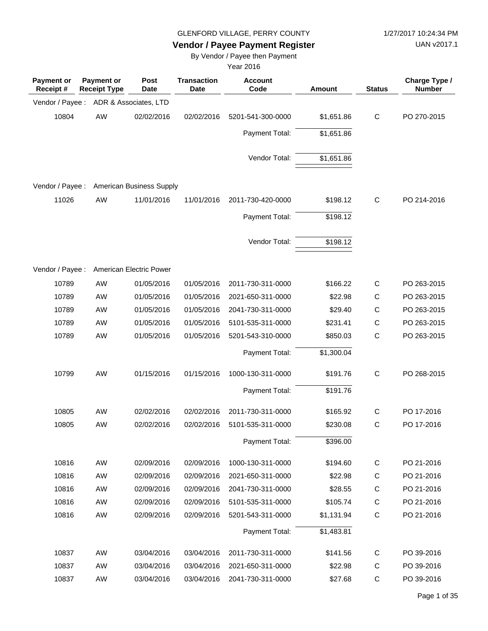UAN v2017.1

# **Vendor / Payee Payment Register**

By Vendor / Payee then Payment

| <b>Payment or</b><br>Receipt# | <b>Payment or</b><br><b>Receipt Type</b> | <b>Post</b><br><b>Date</b> | <b>Transaction</b><br><b>Date</b> | <b>Account</b><br>Code | Amount     | <b>Status</b> | Charge Type /<br><b>Number</b> |
|-------------------------------|------------------------------------------|----------------------------|-----------------------------------|------------------------|------------|---------------|--------------------------------|
| Vendor / Payee :              |                                          | ADR & Associates, LTD      |                                   |                        |            |               |                                |
| 10804                         | AW                                       | 02/02/2016                 | 02/02/2016                        | 5201-541-300-0000      | \$1,651.86 | $\mathsf{C}$  | PO 270-2015                    |
|                               |                                          |                            |                                   | Payment Total:         | \$1,651.86 |               |                                |
|                               |                                          |                            |                                   | Vendor Total:          | \$1,651.86 |               |                                |
| Vendor / Payee :              |                                          | American Business Supply   |                                   |                        |            |               |                                |
| 11026                         | AW                                       | 11/01/2016                 | 11/01/2016                        | 2011-730-420-0000      | \$198.12   | $\mathsf{C}$  | PO 214-2016                    |
|                               |                                          |                            |                                   | Payment Total:         | \$198.12   |               |                                |
|                               |                                          |                            |                                   | Vendor Total:          | \$198.12   |               |                                |
| Vendor / Payee :              |                                          | American Electric Power    |                                   |                        |            |               |                                |
| 10789                         | AW                                       | 01/05/2016                 | 01/05/2016                        | 2011-730-311-0000      | \$166.22   | $\mathsf{C}$  | PO 263-2015                    |
| 10789                         | AW                                       | 01/05/2016                 | 01/05/2016                        | 2021-650-311-0000      | \$22.98    | C             | PO 263-2015                    |
| 10789                         | <b>AW</b>                                | 01/05/2016                 | 01/05/2016                        | 2041-730-311-0000      | \$29.40    | С             | PO 263-2015                    |
| 10789                         | AW                                       | 01/05/2016                 | 01/05/2016                        | 5101-535-311-0000      | \$231.41   | $\mathsf C$   | PO 263-2015                    |
| 10789                         | AW                                       | 01/05/2016                 | 01/05/2016                        | 5201-543-310-0000      | \$850.03   | C             | PO 263-2015                    |
|                               |                                          |                            |                                   | Payment Total:         | \$1,300.04 |               |                                |
| 10799                         | AW                                       | 01/15/2016                 | 01/15/2016                        | 1000-130-311-0000      | \$191.76   | $\mathsf{C}$  | PO 268-2015                    |
|                               |                                          |                            |                                   | Payment Total:         | \$191.76   |               |                                |
| 10805                         | AW                                       | 02/02/2016                 | 02/02/2016                        | 2011-730-311-0000      | \$165.92   | $\mathsf{C}$  | PO 17-2016                     |
| 10805                         | AW                                       | 02/02/2016                 | 02/02/2016                        | 5101-535-311-0000      | \$230.08   | С             | PO 17-2016                     |
|                               |                                          |                            |                                   | Payment Total:         | \$396.00   |               |                                |
| 10816                         | AW                                       | 02/09/2016                 | 02/09/2016                        | 1000-130-311-0000      | \$194.60   | C             | PO 21-2016                     |
| 10816                         | AW                                       | 02/09/2016                 | 02/09/2016                        | 2021-650-311-0000      | \$22.98    | $\mathsf C$   | PO 21-2016                     |
| 10816                         | AW                                       | 02/09/2016                 | 02/09/2016                        | 2041-730-311-0000      | \$28.55    | $\mathsf C$   | PO 21-2016                     |
| 10816                         | AW                                       | 02/09/2016                 | 02/09/2016                        | 5101-535-311-0000      | \$105.74   | $\mathsf C$   | PO 21-2016                     |
| 10816                         | AW                                       | 02/09/2016                 | 02/09/2016                        | 5201-543-311-0000      | \$1,131.94 | $\mathsf C$   | PO 21-2016                     |
|                               |                                          |                            |                                   | Payment Total:         | \$1,483.81 |               |                                |
| 10837                         | AW                                       | 03/04/2016                 | 03/04/2016                        | 2011-730-311-0000      | \$141.56   | $\mathsf C$   | PO 39-2016                     |
| 10837                         | AW                                       | 03/04/2016                 | 03/04/2016                        | 2021-650-311-0000      | \$22.98    | $\mathsf C$   | PO 39-2016                     |
| 10837                         | AW                                       | 03/04/2016                 | 03/04/2016                        | 2041-730-311-0000      | \$27.68    | $\mathsf C$   | PO 39-2016                     |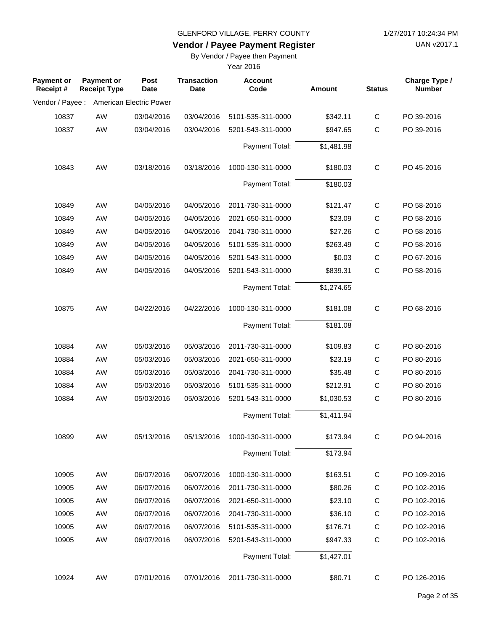**Vendor / Payee Payment Register**

UAN v2017.1

### By Vendor / Payee then Payment

| <b>Payment or</b><br>Receipt# | <b>Payment or</b><br><b>Receipt Type</b> | <b>Post</b><br><b>Date</b> | <b>Transaction</b><br>Date | <b>Account</b><br>Code | Amount     | <b>Status</b> | Charge Type /<br><b>Number</b> |
|-------------------------------|------------------------------------------|----------------------------|----------------------------|------------------------|------------|---------------|--------------------------------|
| Vendor / Payee :              |                                          | American Electric Power    |                            |                        |            |               |                                |
| 10837                         | <b>AW</b>                                | 03/04/2016                 | 03/04/2016                 | 5101-535-311-0000      | \$342.11   | $\mathsf{C}$  | PO 39-2016                     |
| 10837                         | AW                                       | 03/04/2016                 | 03/04/2016                 | 5201-543-311-0000      | \$947.65   | С             | PO 39-2016                     |
|                               |                                          |                            |                            | Payment Total:         | \$1,481.98 |               |                                |
| 10843                         | AW                                       | 03/18/2016                 | 03/18/2016                 | 1000-130-311-0000      | \$180.03   | $\mathsf{C}$  | PO 45-2016                     |
|                               |                                          |                            |                            | Payment Total:         | \$180.03   |               |                                |
| 10849                         | <b>AW</b>                                | 04/05/2016                 | 04/05/2016                 | 2011-730-311-0000      | \$121.47   | $\mathsf{C}$  | PO 58-2016                     |
| 10849                         | <b>AW</b>                                | 04/05/2016                 | 04/05/2016                 | 2021-650-311-0000      | \$23.09    | $\mathsf C$   | PO 58-2016                     |
| 10849                         | <b>AW</b>                                | 04/05/2016                 | 04/05/2016                 | 2041-730-311-0000      | \$27.26    | $\mathsf C$   | PO 58-2016                     |
| 10849                         | AW                                       | 04/05/2016                 | 04/05/2016                 | 5101-535-311-0000      | \$263.49   | C             | PO 58-2016                     |
| 10849                         | AW                                       | 04/05/2016                 | 04/05/2016                 | 5201-543-311-0000      | \$0.03     | $\mathsf C$   | PO 67-2016                     |
| 10849                         | AW                                       | 04/05/2016                 | 04/05/2016                 | 5201-543-311-0000      | \$839.31   | $\mathsf C$   | PO 58-2016                     |
|                               |                                          |                            |                            |                        |            |               |                                |
|                               |                                          |                            |                            | Payment Total:         | \$1,274.65 |               |                                |
| 10875                         | AW                                       | 04/22/2016                 | 04/22/2016                 | 1000-130-311-0000      | \$181.08   | $\mathsf{C}$  | PO 68-2016                     |
|                               |                                          |                            |                            | Payment Total:         | \$181.08   |               |                                |
| 10884                         | <b>AW</b>                                | 05/03/2016                 | 05/03/2016                 | 2011-730-311-0000      | \$109.83   | $\mathsf{C}$  | PO 80-2016                     |
| 10884                         | <b>AW</b>                                | 05/03/2016                 | 05/03/2016                 | 2021-650-311-0000      | \$23.19    | C             | PO 80-2016                     |
| 10884                         | <b>AW</b>                                | 05/03/2016                 | 05/03/2016                 | 2041-730-311-0000      | \$35.48    | $\mathsf C$   | PO 80-2016                     |
| 10884                         | AW                                       | 05/03/2016                 | 05/03/2016                 | 5101-535-311-0000      | \$212.91   | $\mathsf C$   | PO 80-2016                     |
| 10884                         | AW                                       | 05/03/2016                 | 05/03/2016                 | 5201-543-311-0000      | \$1,030.53 | C             | PO 80-2016                     |
|                               |                                          |                            |                            | Payment Total:         | \$1,411.94 |               |                                |
| 10899                         | AW                                       | 05/13/2016                 | 05/13/2016                 | 1000-130-311-0000      | \$173.94   | C             | PO 94-2016                     |
|                               |                                          |                            |                            | Payment Total:         | \$173.94   |               |                                |
|                               |                                          |                            |                            |                        |            |               |                                |
| 10905                         | AW                                       | 06/07/2016                 | 06/07/2016                 | 1000-130-311-0000      | \$163.51   | C             | PO 109-2016                    |
| 10905                         | AW                                       | 06/07/2016                 | 06/07/2016                 | 2011-730-311-0000      | \$80.26    | C             | PO 102-2016                    |
| 10905                         | AW                                       | 06/07/2016                 | 06/07/2016                 | 2021-650-311-0000      | \$23.10    | $\mathsf C$   | PO 102-2016                    |
| 10905                         | AW                                       | 06/07/2016                 | 06/07/2016                 | 2041-730-311-0000      | \$36.10    | $\mathsf C$   | PO 102-2016                    |
| 10905                         | AW                                       | 06/07/2016                 | 06/07/2016                 | 5101-535-311-0000      | \$176.71   | C             | PO 102-2016                    |
| 10905                         | AW                                       | 06/07/2016                 | 06/07/2016                 | 5201-543-311-0000      | \$947.33   | $\mathsf C$   | PO 102-2016                    |
|                               |                                          |                            |                            | Payment Total:         | \$1,427.01 |               |                                |
| 10924                         | AW                                       | 07/01/2016                 | 07/01/2016                 | 2011-730-311-0000      | \$80.71    | C             | PO 126-2016                    |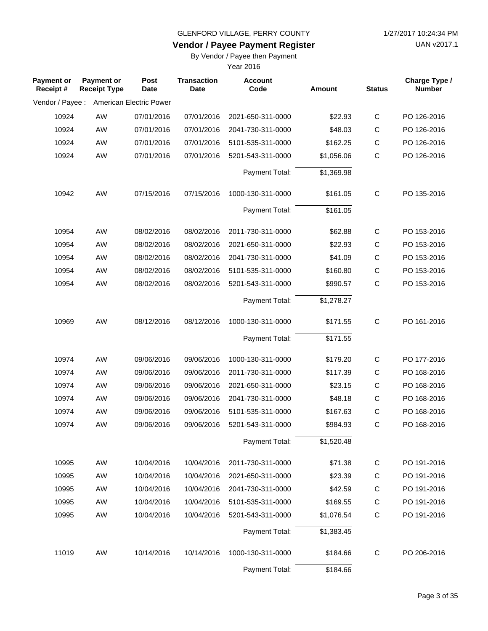# UAN v2017.1

#### **Vendor / Payee Payment Register** By Vendor / Payee then Payment

| <b>Payment or</b><br>Receipt# | Payment or<br><b>Receipt Type</b> | Post<br><b>Date</b>     | <b>Transaction</b><br><b>Date</b> | <b>Account</b><br>Code | <b>Amount</b> | <b>Status</b> | Charge Type /<br><b>Number</b> |
|-------------------------------|-----------------------------------|-------------------------|-----------------------------------|------------------------|---------------|---------------|--------------------------------|
| Vendor / Payee :              |                                   | American Electric Power |                                   |                        |               |               |                                |
| 10924                         | AW                                | 07/01/2016              | 07/01/2016                        | 2021-650-311-0000      | \$22.93       | $\mathsf C$   | PO 126-2016                    |
| 10924                         | AW                                | 07/01/2016              | 07/01/2016                        | 2041-730-311-0000      | \$48.03       | C             | PO 126-2016                    |
| 10924                         | AW                                | 07/01/2016              | 07/01/2016                        | 5101-535-311-0000      | \$162.25      | $\mathsf C$   | PO 126-2016                    |
| 10924                         | AW                                | 07/01/2016              | 07/01/2016                        | 5201-543-311-0000      | \$1,056.06    | $\mathsf C$   | PO 126-2016                    |
|                               |                                   |                         |                                   | Payment Total:         | \$1,369.98    |               |                                |
| 10942                         | AW                                | 07/15/2016              | 07/15/2016                        | 1000-130-311-0000      | \$161.05      | $\mathsf{C}$  | PO 135-2016                    |
|                               |                                   |                         |                                   | Payment Total:         | \$161.05      |               |                                |
| 10954                         | AW                                | 08/02/2016              | 08/02/2016                        | 2011-730-311-0000      | \$62.88       | $\mathsf C$   | PO 153-2016                    |
| 10954                         | AW                                | 08/02/2016              | 08/02/2016                        | 2021-650-311-0000      | \$22.93       | C             | PO 153-2016                    |
| 10954                         | <b>AW</b>                         | 08/02/2016              | 08/02/2016                        | 2041-730-311-0000      | \$41.09       | $\mathsf C$   | PO 153-2016                    |
| 10954                         | AW                                | 08/02/2016              | 08/02/2016                        | 5101-535-311-0000      | \$160.80      | $\mathsf{C}$  | PO 153-2016                    |
| 10954                         | AW                                | 08/02/2016              | 08/02/2016                        | 5201-543-311-0000      | \$990.57      | $\mathsf{C}$  | PO 153-2016                    |
|                               |                                   |                         |                                   | Payment Total:         | \$1,278.27    |               |                                |
| 10969                         | AW                                | 08/12/2016              | 08/12/2016                        | 1000-130-311-0000      | \$171.55      | $\mathsf{C}$  | PO 161-2016                    |
|                               |                                   |                         |                                   | Payment Total:         | \$171.55      |               |                                |
| 10974                         | AW                                | 09/06/2016              | 09/06/2016                        | 1000-130-311-0000      | \$179.20      | $\mathsf{C}$  | PO 177-2016                    |
| 10974                         | <b>AW</b>                         | 09/06/2016              | 09/06/2016                        | 2011-730-311-0000      | \$117.39      | C             | PO 168-2016                    |
| 10974                         | AW                                | 09/06/2016              | 09/06/2016                        | 2021-650-311-0000      | \$23.15       | $\mathsf C$   | PO 168-2016                    |
| 10974                         | AW                                | 09/06/2016              | 09/06/2016                        | 2041-730-311-0000      | \$48.18       | $\mathsf C$   | PO 168-2016                    |
| 10974                         | AW                                | 09/06/2016              | 09/06/2016                        | 5101-535-311-0000      | \$167.63      | $\mathsf C$   | PO 168-2016                    |
| 10974                         | AW                                | 09/06/2016              | 09/06/2016                        | 5201-543-311-0000      | \$984.93      | $\mathsf C$   | PO 168-2016                    |
|                               |                                   |                         |                                   | Payment Total:         | \$1,520.48    |               |                                |
| 10995                         | AW                                | 10/04/2016              | 10/04/2016                        | 2011-730-311-0000      | \$71.38       | $\mathsf C$   | PO 191-2016                    |
| 10995                         | AW                                | 10/04/2016              | 10/04/2016                        | 2021-650-311-0000      | \$23.39       | $\mathsf C$   | PO 191-2016                    |
| 10995                         | AW                                | 10/04/2016              | 10/04/2016                        | 2041-730-311-0000      | \$42.59       | $\mathsf C$   | PO 191-2016                    |
| 10995                         | AW                                | 10/04/2016              | 10/04/2016                        | 5101-535-311-0000      | \$169.55      | C             | PO 191-2016                    |
| 10995                         | AW                                | 10/04/2016              | 10/04/2016                        | 5201-543-311-0000      | \$1,076.54    | $\mathsf C$   | PO 191-2016                    |
|                               |                                   |                         |                                   | Payment Total:         | \$1,383.45    |               |                                |
| 11019                         | AW                                | 10/14/2016              | 10/14/2016                        | 1000-130-311-0000      | \$184.66      | $\mathsf C$   | PO 206-2016                    |
|                               |                                   |                         |                                   | Payment Total:         | \$184.66      |               |                                |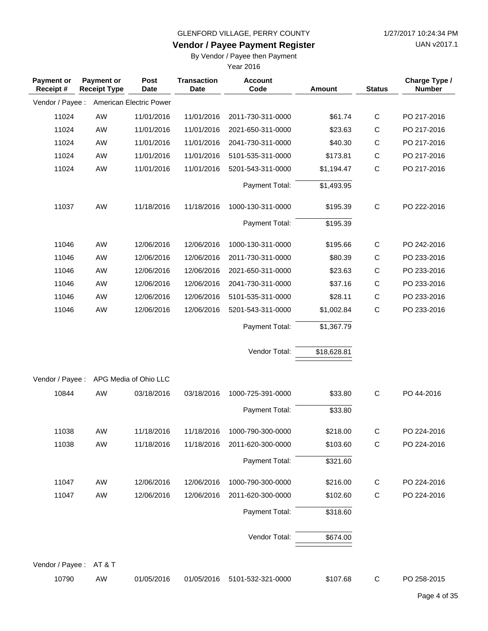**Vendor / Payee Payment Register**

UAN v2017.1

### By Vendor / Payee then Payment

| <b>Payment or</b><br>Receipt# | Payment or<br><b>Receipt Type</b> | Post<br><b>Date</b>     | <b>Transaction</b><br><b>Date</b> | <b>Account</b><br>Code | Amount      | <b>Status</b> | Charge Type /<br><b>Number</b> |
|-------------------------------|-----------------------------------|-------------------------|-----------------------------------|------------------------|-------------|---------------|--------------------------------|
| Vendor / Payee :              |                                   | American Electric Power |                                   |                        |             |               |                                |
| 11024                         | AW                                | 11/01/2016              | 11/01/2016                        | 2011-730-311-0000      | \$61.74     | $\mathsf C$   | PO 217-2016                    |
| 11024                         | AW                                | 11/01/2016              | 11/01/2016                        | 2021-650-311-0000      | \$23.63     | C             | PO 217-2016                    |
| 11024                         | AW                                | 11/01/2016              | 11/01/2016                        | 2041-730-311-0000      | \$40.30     | $\mathsf C$   | PO 217-2016                    |
| 11024                         | AW                                | 11/01/2016              | 11/01/2016                        | 5101-535-311-0000      | \$173.81    | $\mathsf C$   | PO 217-2016                    |
| 11024                         | AW                                | 11/01/2016              | 11/01/2016                        | 5201-543-311-0000      | \$1,194.47  | $\mathsf C$   | PO 217-2016                    |
|                               |                                   |                         |                                   | Payment Total:         | \$1,493.95  |               |                                |
| 11037                         | AW                                | 11/18/2016              | 11/18/2016                        | 1000-130-311-0000      | \$195.39    | $\mathsf{C}$  | PO 222-2016                    |
|                               |                                   |                         |                                   | Payment Total:         | \$195.39    |               |                                |
| 11046                         | AW                                | 12/06/2016              | 12/06/2016                        | 1000-130-311-0000      | \$195.66    | $\mathsf{C}$  | PO 242-2016                    |
| 11046                         | AW                                | 12/06/2016              | 12/06/2016                        | 2011-730-311-0000      | \$80.39     | C             | PO 233-2016                    |
| 11046                         | AW                                | 12/06/2016              | 12/06/2016                        | 2021-650-311-0000      | \$23.63     | $\mathsf C$   | PO 233-2016                    |
| 11046                         | AW                                | 12/06/2016              | 12/06/2016                        | 2041-730-311-0000      | \$37.16     | $\mathsf C$   | PO 233-2016                    |
| 11046                         | AW                                | 12/06/2016              | 12/06/2016                        | 5101-535-311-0000      | \$28.11     | $\mathsf C$   | PO 233-2016                    |
| 11046                         | AW                                | 12/06/2016              | 12/06/2016                        | 5201-543-311-0000      | \$1,002.84  | $\mathsf{C}$  | PO 233-2016                    |
|                               |                                   |                         |                                   | Payment Total:         | \$1,367.79  |               |                                |
|                               |                                   |                         |                                   | Vendor Total:          | \$18,628.81 |               |                                |
| Vendor / Payee :              |                                   | APG Media of Ohio LLC   |                                   |                        |             |               |                                |
| 10844                         | AW                                | 03/18/2016              | 03/18/2016                        | 1000-725-391-0000      | \$33.80     | $\mathsf{C}$  | PO 44-2016                     |
|                               |                                   |                         |                                   | Payment Total:         | \$33.80     |               |                                |
| 11038                         | AW                                | 11/18/2016              | 11/18/2016                        | 1000-790-300-0000      | \$218.00    | C             | PO 224-2016                    |
| 11038                         | AW                                | 11/18/2016              | 11/18/2016                        | 2011-620-300-0000      | \$103.60    | C             | PO 224-2016                    |
|                               |                                   |                         |                                   | Payment Total:         | \$321.60    |               |                                |
| 11047                         | AW                                | 12/06/2016              | 12/06/2016                        | 1000-790-300-0000      | \$216.00    | C             | PO 224-2016                    |
| 11047                         | AW                                | 12/06/2016              | 12/06/2016                        | 2011-620-300-0000      | \$102.60    | $\mathsf C$   | PO 224-2016                    |
|                               |                                   |                         |                                   | Payment Total:         | \$318.60    |               |                                |
|                               |                                   |                         |                                   | Vendor Total:          | \$674.00    |               |                                |
| Vendor / Payee :              | AT & T                            |                         |                                   |                        |             |               |                                |
| 10790                         | AW                                | 01/05/2016              | 01/05/2016                        | 5101-532-321-0000      | \$107.68    | $\mathsf{C}$  | PO 258-2015                    |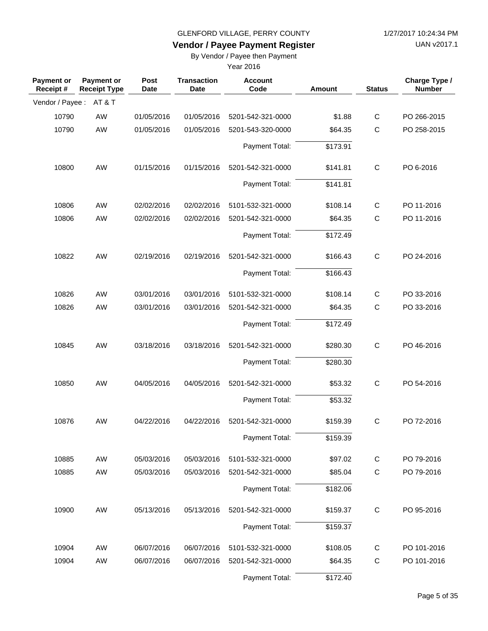UAN v2017.1

# **Vendor / Payee Payment Register**

By Vendor / Payee then Payment

| <b>Payment or</b><br>Receipt # | Payment or<br><b>Receipt Type</b> | Post<br><b>Date</b> | <b>Transaction</b><br><b>Date</b> | <b>Account</b><br>Code | Amount   | <b>Status</b> | Charge Type /<br><b>Number</b> |
|--------------------------------|-----------------------------------|---------------------|-----------------------------------|------------------------|----------|---------------|--------------------------------|
| Vendor / Payee: AT&T           |                                   |                     |                                   |                        |          |               |                                |
| 10790                          | AW                                | 01/05/2016          | 01/05/2016                        | 5201-542-321-0000      | \$1.88   | $\mathsf C$   | PO 266-2015                    |
| 10790                          | AW                                | 01/05/2016          | 01/05/2016                        | 5201-543-320-0000      | \$64.35  | $\mathsf{C}$  | PO 258-2015                    |
|                                |                                   |                     |                                   | Payment Total:         | \$173.91 |               |                                |
| 10800                          | AW                                | 01/15/2016          | 01/15/2016                        | 5201-542-321-0000      | \$141.81 | $\mathsf C$   | PO 6-2016                      |
|                                |                                   |                     |                                   | Payment Total:         | \$141.81 |               |                                |
| 10806                          | AW                                | 02/02/2016          | 02/02/2016                        | 5101-532-321-0000      | \$108.14 | $\mathbf C$   | PO 11-2016                     |
| 10806                          | AW                                | 02/02/2016          | 02/02/2016                        | 5201-542-321-0000      | \$64.35  | $\mathsf C$   | PO 11-2016                     |
|                                |                                   |                     |                                   | Payment Total:         | \$172.49 |               |                                |
| 10822                          | AW                                | 02/19/2016          | 02/19/2016                        | 5201-542-321-0000      | \$166.43 | $\mathsf C$   | PO 24-2016                     |
|                                |                                   |                     |                                   | Payment Total:         | \$166.43 |               |                                |
| 10826                          | AW                                | 03/01/2016          | 03/01/2016                        | 5101-532-321-0000      | \$108.14 | $\mathsf{C}$  | PO 33-2016                     |
| 10826                          | AW                                | 03/01/2016          | 03/01/2016                        | 5201-542-321-0000      | \$64.35  | $\mathsf C$   | PO 33-2016                     |
|                                |                                   |                     |                                   | Payment Total:         | \$172.49 |               |                                |
| 10845                          | AW                                | 03/18/2016          | 03/18/2016                        | 5201-542-321-0000      | \$280.30 | $\mathsf{C}$  | PO 46-2016                     |
|                                |                                   |                     |                                   | Payment Total:         | \$280.30 |               |                                |
| 10850                          | AW                                | 04/05/2016          | 04/05/2016                        | 5201-542-321-0000      | \$53.32  | $\mathsf{C}$  | PO 54-2016                     |
|                                |                                   |                     |                                   | Payment Total:         | \$53.32  |               |                                |
| 10876                          | AW                                | 04/22/2016          | 04/22/2016                        | 5201-542-321-0000      | \$159.39 | C             | PO 72-2016                     |
|                                |                                   |                     |                                   | Payment Total:         | \$159.39 |               |                                |
| 10885                          | AW                                | 05/03/2016          | 05/03/2016                        | 5101-532-321-0000      | \$97.02  | $\mathsf C$   | PO 79-2016                     |
| 10885                          | AW                                | 05/03/2016          | 05/03/2016                        | 5201-542-321-0000      | \$85.04  | $\mathsf C$   | PO 79-2016                     |
|                                |                                   |                     |                                   | Payment Total:         | \$182.06 |               |                                |
| 10900                          | AW                                | 05/13/2016          | 05/13/2016                        | 5201-542-321-0000      | \$159.37 | $\mathsf C$   | PO 95-2016                     |
|                                |                                   |                     |                                   | Payment Total:         | \$159.37 |               |                                |
| 10904                          | AW                                | 06/07/2016          | 06/07/2016                        | 5101-532-321-0000      | \$108.05 | C             | PO 101-2016                    |
| 10904                          | AW                                | 06/07/2016          | 06/07/2016                        | 5201-542-321-0000      | \$64.35  | $\mathbf C$   | PO 101-2016                    |
|                                |                                   |                     |                                   | Payment Total:         | \$172.40 |               |                                |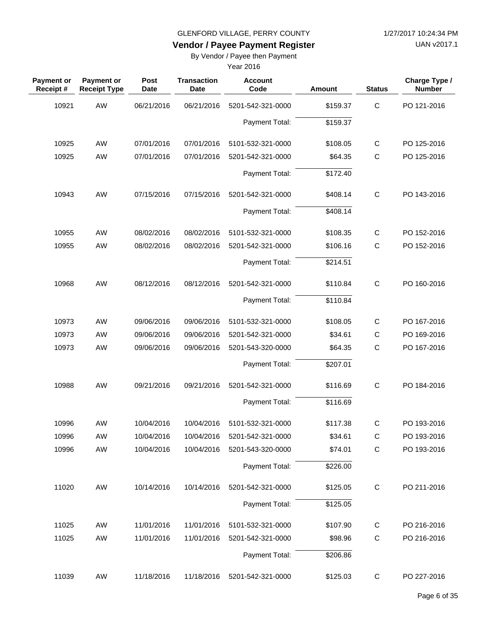UAN v2017.1

# **Vendor / Payee Payment Register**

By Vendor / Payee then Payment

| <b>Payment or</b><br>Receipt# | <b>Payment or</b><br><b>Receipt Type</b> | Post<br><b>Date</b> | <b>Transaction</b><br><b>Date</b> | <b>Account</b><br>Code | Amount   | <b>Status</b> | Charge Type /<br><b>Number</b> |
|-------------------------------|------------------------------------------|---------------------|-----------------------------------|------------------------|----------|---------------|--------------------------------|
| 10921                         | AW                                       | 06/21/2016          | 06/21/2016                        | 5201-542-321-0000      | \$159.37 | $\mathsf C$   | PO 121-2016                    |
|                               |                                          |                     |                                   | Payment Total:         | \$159.37 |               |                                |
| 10925                         | <b>AW</b>                                | 07/01/2016          | 07/01/2016                        | 5101-532-321-0000      | \$108.05 | C             | PO 125-2016                    |
| 10925                         | AW                                       | 07/01/2016          | 07/01/2016                        | 5201-542-321-0000      | \$64.35  | $\mathsf{C}$  | PO 125-2016                    |
|                               |                                          |                     |                                   | Payment Total:         | \$172.40 |               |                                |
| 10943                         | AW                                       | 07/15/2016          | 07/15/2016                        | 5201-542-321-0000      | \$408.14 | $\mathsf C$   | PO 143-2016                    |
|                               |                                          |                     |                                   | Payment Total:         | \$408.14 |               |                                |
| 10955                         | AW                                       | 08/02/2016          | 08/02/2016                        | 5101-532-321-0000      | \$108.35 | $\mathsf C$   | PO 152-2016                    |
| 10955                         | AW                                       | 08/02/2016          | 08/02/2016                        | 5201-542-321-0000      | \$106.16 | $\mathsf{C}$  | PO 152-2016                    |
|                               |                                          |                     |                                   | Payment Total:         | \$214.51 |               |                                |
| 10968                         | AW                                       | 08/12/2016          | 08/12/2016                        | 5201-542-321-0000      | \$110.84 | $\mathsf C$   | PO 160-2016                    |
|                               |                                          |                     |                                   | Payment Total:         | \$110.84 |               |                                |
| 10973                         | AW                                       | 09/06/2016          | 09/06/2016                        | 5101-532-321-0000      | \$108.05 | C             | PO 167-2016                    |
| 10973                         | AW                                       | 09/06/2016          | 09/06/2016                        | 5201-542-321-0000      | \$34.61  | C             | PO 169-2016                    |
| 10973                         | AW                                       | 09/06/2016          | 09/06/2016                        | 5201-543-320-0000      | \$64.35  | $\mathsf{C}$  | PO 167-2016                    |
|                               |                                          |                     |                                   | Payment Total:         | \$207.01 |               |                                |
| 10988                         | AW                                       | 09/21/2016          | 09/21/2016                        | 5201-542-321-0000      | \$116.69 | $\mathsf{C}$  | PO 184-2016                    |
|                               |                                          |                     |                                   | Payment Total:         | \$116.69 |               |                                |
| 10996                         | AW                                       | 10/04/2016          | 10/04/2016                        | 5101-532-321-0000      | \$117.38 | $\mathsf{C}$  | PO 193-2016                    |
| 10996                         | AW                                       | 10/04/2016          | 10/04/2016                        | 5201-542-321-0000      | \$34.61  | C             | PO 193-2016                    |
| 10996                         | AW                                       | 10/04/2016          | 10/04/2016                        | 5201-543-320-0000      | \$74.01  | $\mathsf C$   | PO 193-2016                    |
|                               |                                          |                     |                                   | Payment Total:         | \$226.00 |               |                                |
| 11020                         | AW                                       | 10/14/2016          | 10/14/2016                        | 5201-542-321-0000      | \$125.05 | C             | PO 211-2016                    |
|                               |                                          |                     |                                   | Payment Total:         | \$125.05 |               |                                |
| 11025                         | AW                                       | 11/01/2016          | 11/01/2016                        | 5101-532-321-0000      | \$107.90 | $\mathsf{C}$  | PO 216-2016                    |
| 11025                         | AW                                       | 11/01/2016          | 11/01/2016                        | 5201-542-321-0000      | \$98.96  | $\mathsf C$   | PO 216-2016                    |
|                               |                                          |                     |                                   | Payment Total:         | \$206.86 |               |                                |
| 11039                         | AW                                       | 11/18/2016          | 11/18/2016                        | 5201-542-321-0000      | \$125.03 | $\mathsf{C}$  | PO 227-2016                    |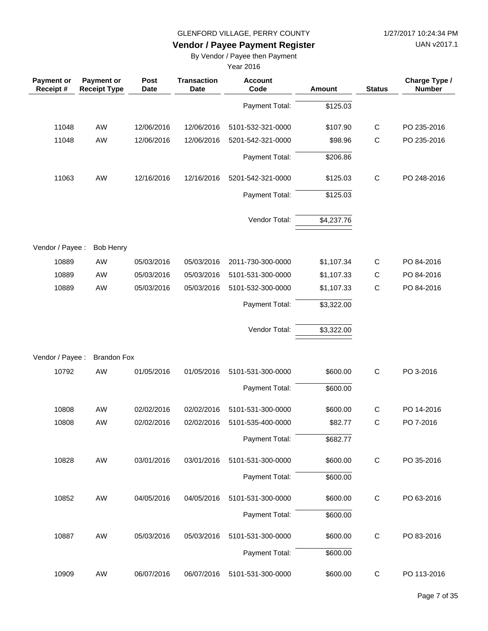UAN v2017.1

# **Vendor / Payee Payment Register**

By Vendor / Payee then Payment

| <b>Payment or</b><br>Receipt# | Payment or<br><b>Receipt Type</b> | <b>Post</b><br><b>Date</b> | <b>Transaction</b><br><b>Date</b> | <b>Account</b><br>Code | Amount     | <b>Status</b> | Charge Type /<br><b>Number</b> |
|-------------------------------|-----------------------------------|----------------------------|-----------------------------------|------------------------|------------|---------------|--------------------------------|
|                               |                                   |                            |                                   | Payment Total:         | \$125.03   |               |                                |
| 11048                         | AW                                | 12/06/2016                 | 12/06/2016                        | 5101-532-321-0000      | \$107.90   | $\mathsf{C}$  | PO 235-2016                    |
| 11048                         | AW                                | 12/06/2016                 | 12/06/2016                        | 5201-542-321-0000      | \$98.96    | $\mathsf{C}$  | PO 235-2016                    |
|                               |                                   |                            |                                   | Payment Total:         | \$206.86   |               |                                |
| 11063                         | AW                                | 12/16/2016                 | 12/16/2016                        | 5201-542-321-0000      | \$125.03   | $\mathsf C$   | PO 248-2016                    |
|                               |                                   |                            |                                   | Payment Total:         | \$125.03   |               |                                |
|                               |                                   |                            |                                   | Vendor Total:          | \$4,237.76 |               |                                |
| Vendor / Payee :              | <b>Bob Henry</b>                  |                            |                                   |                        |            |               |                                |
| 10889                         | AW                                | 05/03/2016                 | 05/03/2016                        | 2011-730-300-0000      | \$1,107.34 | $\mathsf{C}$  | PO 84-2016                     |
| 10889                         | AW                                | 05/03/2016                 | 05/03/2016                        | 5101-531-300-0000      | \$1,107.33 | $\mathsf{C}$  | PO 84-2016                     |
| 10889                         | AW                                | 05/03/2016                 | 05/03/2016                        | 5101-532-300-0000      | \$1,107.33 | $\mathsf{C}$  | PO 84-2016                     |
|                               |                                   |                            |                                   | Payment Total:         | \$3,322.00 |               |                                |
|                               |                                   |                            |                                   | Vendor Total:          | \$3,322.00 |               |                                |
| Vendor / Payee :              | <b>Brandon Fox</b>                |                            |                                   |                        |            |               |                                |
| 10792                         | AW                                | 01/05/2016                 | 01/05/2016                        | 5101-531-300-0000      | \$600.00   | $\mathsf{C}$  | PO 3-2016                      |
|                               |                                   |                            |                                   | Payment Total:         | \$600.00   |               |                                |
| 10808                         | AW                                | 02/02/2016                 | 02/02/2016                        | 5101-531-300-0000      | \$600.00   | $\mathsf{C}$  | PO 14-2016                     |
| 10808                         | AW                                | 02/02/2016                 | 02/02/2016                        | 5101-535-400-0000      | \$82.77    | $\mathsf{C}$  | PO 7-2016                      |
|                               |                                   |                            |                                   | Payment Total:         | \$682.77   |               |                                |
| 10828                         | AW                                | 03/01/2016                 | 03/01/2016                        | 5101-531-300-0000      | \$600.00   | $\mathsf C$   | PO 35-2016                     |
|                               |                                   |                            |                                   | Payment Total:         | \$600.00   |               |                                |
| 10852                         | AW                                | 04/05/2016                 | 04/05/2016                        | 5101-531-300-0000      | \$600.00   | $\mathsf C$   | PO 63-2016                     |
|                               |                                   |                            |                                   | Payment Total:         | \$600.00   |               |                                |
| 10887                         | AW                                | 05/03/2016                 | 05/03/2016                        | 5101-531-300-0000      | \$600.00   | $\mathsf C$   | PO 83-2016                     |
|                               |                                   |                            |                                   | Payment Total:         | \$600.00   |               |                                |
| 10909                         | AW                                | 06/07/2016                 | 06/07/2016                        | 5101-531-300-0000      | \$600.00   | C             | PO 113-2016                    |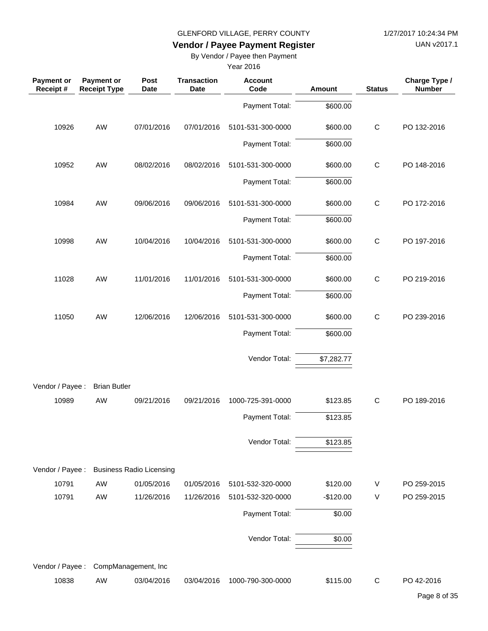UAN v2017.1

# **Vendor / Payee Payment Register**

By Vendor / Payee then Payment

| <b>Payment or</b><br>Receipt # | Payment or<br><b>Receipt Type</b> | Post<br><b>Date</b>             | <b>Transaction</b><br><b>Date</b> | <b>Account</b><br>Code | Amount     | <b>Status</b> | Charge Type /<br><b>Number</b> |
|--------------------------------|-----------------------------------|---------------------------------|-----------------------------------|------------------------|------------|---------------|--------------------------------|
|                                |                                   |                                 |                                   | Payment Total:         | \$600.00   |               |                                |
| 10926                          | AW                                | 07/01/2016                      | 07/01/2016                        | 5101-531-300-0000      | \$600.00   | $\mathsf{C}$  | PO 132-2016                    |
|                                |                                   |                                 |                                   | Payment Total:         | \$600.00   |               |                                |
| 10952                          | AW                                | 08/02/2016                      | 08/02/2016                        | 5101-531-300-0000      | \$600.00   | $\mathsf{C}$  | PO 148-2016                    |
|                                |                                   |                                 |                                   | Payment Total:         | \$600.00   |               |                                |
| 10984                          | AW                                | 09/06/2016                      | 09/06/2016                        | 5101-531-300-0000      | \$600.00   | $\mathsf{C}$  | PO 172-2016                    |
|                                |                                   |                                 |                                   | Payment Total:         | \$600.00   |               |                                |
| 10998                          | AW                                | 10/04/2016                      | 10/04/2016                        | 5101-531-300-0000      | \$600.00   | $\mathsf C$   | PO 197-2016                    |
|                                |                                   |                                 |                                   | Payment Total:         | \$600.00   |               |                                |
| 11028                          | AW                                | 11/01/2016                      | 11/01/2016                        | 5101-531-300-0000      | \$600.00   | $\mathsf C$   | PO 219-2016                    |
|                                |                                   |                                 |                                   | Payment Total:         | \$600.00   |               |                                |
| 11050                          | AW                                | 12/06/2016                      | 12/06/2016                        | 5101-531-300-0000      | \$600.00   | $\mathsf{C}$  | PO 239-2016                    |
|                                |                                   |                                 |                                   | Payment Total:         | \$600.00   |               |                                |
|                                |                                   |                                 |                                   | Vendor Total:          | \$7,282.77 |               |                                |
| Vendor / Payee :               | <b>Brian Butler</b>               |                                 |                                   |                        |            |               |                                |
| 10989                          | AW                                | 09/21/2016                      | 09/21/2016                        | 1000-725-391-0000      | \$123.85   | $\mathsf{C}$  | PO 189-2016                    |
|                                |                                   |                                 |                                   | Payment Total:         | \$123.85   |               |                                |
|                                |                                   |                                 |                                   | Vendor Total:          | \$123.85   |               |                                |
| Vendor / Payee :               |                                   | <b>Business Radio Licensing</b> |                                   |                        |            |               |                                |
| 10791                          | AW                                | 01/05/2016                      | 01/05/2016                        | 5101-532-320-0000      | \$120.00   | V             | PO 259-2015                    |
| 10791                          | AW                                | 11/26/2016                      | 11/26/2016                        | 5101-532-320-0000      | $-$120.00$ | V             | PO 259-2015                    |
|                                |                                   |                                 |                                   | Payment Total:         | \$0.00     |               |                                |
|                                |                                   |                                 |                                   | Vendor Total:          | \$0.00     |               |                                |
| Vendor / Payee :               |                                   | CompManagement, Inc             |                                   |                        |            |               |                                |
| 10838                          | AW                                | 03/04/2016                      | 03/04/2016                        | 1000-790-300-0000      | \$115.00   | $\mathsf{C}$  | PO 42-2016                     |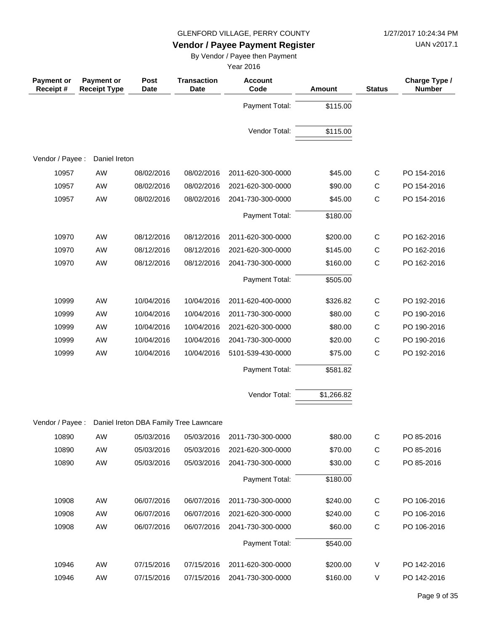UAN v2017.1

# **Vendor / Payee Payment Register**

By Vendor / Payee then Payment

| <b>Payment or</b><br>Receipt# | Payment or<br><b>Receipt Type</b> | Post<br><b>Date</b> | <b>Transaction</b><br><b>Date</b>      | <b>Account</b><br>Code | Amount     | <b>Status</b> | Charge Type /<br><b>Number</b> |
|-------------------------------|-----------------------------------|---------------------|----------------------------------------|------------------------|------------|---------------|--------------------------------|
|                               |                                   |                     |                                        | Payment Total:         | \$115.00   |               |                                |
|                               |                                   |                     |                                        | Vendor Total:          | \$115.00   |               |                                |
| Vendor / Payee :              | Daniel Ireton                     |                     |                                        |                        |            |               |                                |
| 10957                         | AW                                | 08/02/2016          | 08/02/2016                             | 2011-620-300-0000      | \$45.00    | C             | PO 154-2016                    |
| 10957                         | AW                                | 08/02/2016          | 08/02/2016                             | 2021-620-300-0000      | \$90.00    | $\mathsf C$   | PO 154-2016                    |
| 10957                         | AW                                | 08/02/2016          | 08/02/2016                             | 2041-730-300-0000      | \$45.00    | $\mathsf C$   | PO 154-2016                    |
|                               |                                   |                     |                                        | Payment Total:         | \$180.00   |               |                                |
| 10970                         | AW                                | 08/12/2016          | 08/12/2016                             | 2011-620-300-0000      | \$200.00   | C             | PO 162-2016                    |
| 10970                         | AW                                | 08/12/2016          | 08/12/2016                             | 2021-620-300-0000      | \$145.00   | C             | PO 162-2016                    |
| 10970                         | AW                                | 08/12/2016          | 08/12/2016                             | 2041-730-300-0000      | \$160.00   | $\mathsf{C}$  | PO 162-2016                    |
|                               |                                   |                     |                                        | Payment Total:         | \$505.00   |               |                                |
| 10999                         | AW                                | 10/04/2016          | 10/04/2016                             | 2011-620-400-0000      | \$326.82   | $\mathsf{C}$  | PO 192-2016                    |
| 10999                         | AW                                | 10/04/2016          | 10/04/2016                             | 2011-730-300-0000      | \$80.00    | $\mathsf C$   | PO 190-2016                    |
| 10999                         | AW                                | 10/04/2016          | 10/04/2016                             | 2021-620-300-0000      | \$80.00    | C             | PO 190-2016                    |
| 10999                         | AW                                | 10/04/2016          | 10/04/2016                             | 2041-730-300-0000      | \$20.00    | $\mathsf{C}$  | PO 190-2016                    |
| 10999                         | AW                                | 10/04/2016          | 10/04/2016                             | 5101-539-430-0000      | \$75.00    | $\mathsf C$   | PO 192-2016                    |
|                               |                                   |                     |                                        | Payment Total:         | \$581.82   |               |                                |
|                               |                                   |                     |                                        | Vendor Total:          | \$1,266.82 |               |                                |
| Vendor / Payee :              |                                   |                     | Daniel Ireton DBA Family Tree Lawncare |                        |            |               |                                |
| 10890                         | AW                                | 05/03/2016          | 05/03/2016                             | 2011-730-300-0000      | \$80.00    | $\mathsf C$   | PO 85-2016                     |
| 10890                         | AW                                | 05/03/2016          | 05/03/2016                             | 2021-620-300-0000      | \$70.00    | C             | PO 85-2016                     |
| 10890                         | AW                                | 05/03/2016          | 05/03/2016                             | 2041-730-300-0000      | \$30.00    | $\mathsf C$   | PO 85-2016                     |
|                               |                                   |                     |                                        | Payment Total:         | \$180.00   |               |                                |
| 10908                         | AW                                | 06/07/2016          | 06/07/2016                             | 2011-730-300-0000      | \$240.00   | C             | PO 106-2016                    |
| 10908                         | AW                                | 06/07/2016          | 06/07/2016                             | 2021-620-300-0000      | \$240.00   | $\mathsf C$   | PO 106-2016                    |
| 10908                         | AW                                | 06/07/2016          | 06/07/2016                             | 2041-730-300-0000      | \$60.00    | C             | PO 106-2016                    |
|                               |                                   |                     |                                        | Payment Total:         | \$540.00   |               |                                |
| 10946                         | AW                                | 07/15/2016          | 07/15/2016                             | 2011-620-300-0000      | \$200.00   | V             | PO 142-2016                    |
| 10946                         | AW                                | 07/15/2016          | 07/15/2016                             | 2041-730-300-0000      | \$160.00   | V             | PO 142-2016                    |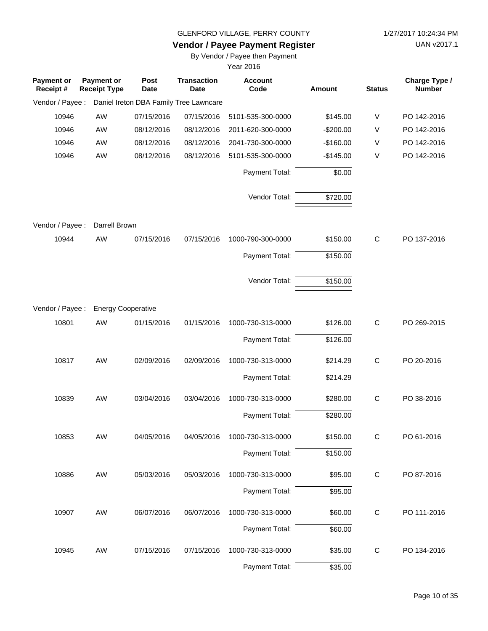UAN v2017.1

# **Vendor / Payee Payment Register**

By Vendor / Payee then Payment

| <b>Payment or</b><br>Receipt # | Payment or<br><b>Receipt Type</b> | Post<br><b>Date</b> | <b>Transaction</b><br><b>Date</b>      | <b>Account</b><br>Code | <b>Amount</b> | <b>Status</b> | Charge Type /<br><b>Number</b> |
|--------------------------------|-----------------------------------|---------------------|----------------------------------------|------------------------|---------------|---------------|--------------------------------|
| Vendor / Payee :               |                                   |                     | Daniel Ireton DBA Family Tree Lawncare |                        |               |               |                                |
| 10946                          | AW                                | 07/15/2016          | 07/15/2016                             | 5101-535-300-0000      | \$145.00      | V             | PO 142-2016                    |
| 10946                          | AW                                | 08/12/2016          | 08/12/2016                             | 2011-620-300-0000      | $-$200.00$    | V             | PO 142-2016                    |
| 10946                          | AW                                | 08/12/2016          | 08/12/2016                             | 2041-730-300-0000      | $-$160.00$    | V             | PO 142-2016                    |
| 10946                          | AW                                | 08/12/2016          | 08/12/2016                             | 5101-535-300-0000      | $-$145.00$    | V             | PO 142-2016                    |
|                                |                                   |                     |                                        | Payment Total:         | \$0.00        |               |                                |
|                                |                                   |                     |                                        | Vendor Total:          | \$720.00      |               |                                |
| Vendor / Payee :               | Darrell Brown                     |                     |                                        |                        |               |               |                                |
| 10944                          | AW                                | 07/15/2016          | 07/15/2016                             | 1000-790-300-0000      | \$150.00      | C             | PO 137-2016                    |
|                                |                                   |                     |                                        | Payment Total:         | \$150.00      |               |                                |
|                                |                                   |                     |                                        | Vendor Total:          | \$150.00      |               |                                |
| Vendor / Payee :               | <b>Energy Cooperative</b>         |                     |                                        |                        |               |               |                                |
| 10801                          | AW                                | 01/15/2016          | 01/15/2016                             | 1000-730-313-0000      | \$126.00      | $\mathsf C$   | PO 269-2015                    |
|                                |                                   |                     |                                        | Payment Total:         | \$126.00      |               |                                |
| 10817                          | AW                                | 02/09/2016          | 02/09/2016                             | 1000-730-313-0000      | \$214.29      | $\mathsf C$   | PO 20-2016                     |
|                                |                                   |                     |                                        | Payment Total:         | \$214.29      |               |                                |
| 10839                          | AW                                | 03/04/2016          | 03/04/2016                             | 1000-730-313-0000      | \$280.00      | C             | PO 38-2016                     |
|                                |                                   |                     |                                        | Payment Total:         | \$280.00      |               |                                |
| 10853                          | AW                                | 04/05/2016          | 04/05/2016                             | 1000-730-313-0000      | \$150.00      | C             | PO 61-2016                     |
|                                |                                   |                     |                                        | Payment Total:         | \$150.00      |               |                                |
| 10886                          | AW                                | 05/03/2016          | 05/03/2016                             | 1000-730-313-0000      | \$95.00       | $\mathsf C$   | PO 87-2016                     |
|                                |                                   |                     |                                        | Payment Total:         | \$95.00       |               |                                |
| 10907                          | AW                                | 06/07/2016          | 06/07/2016                             | 1000-730-313-0000      | \$60.00       | $\mathsf{C}$  | PO 111-2016                    |
|                                |                                   |                     |                                        | Payment Total:         | \$60.00       |               |                                |
| 10945                          | AW                                | 07/15/2016          | 07/15/2016                             | 1000-730-313-0000      | \$35.00       | $\mathsf C$   | PO 134-2016                    |
|                                |                                   |                     |                                        | Payment Total:         | \$35.00       |               |                                |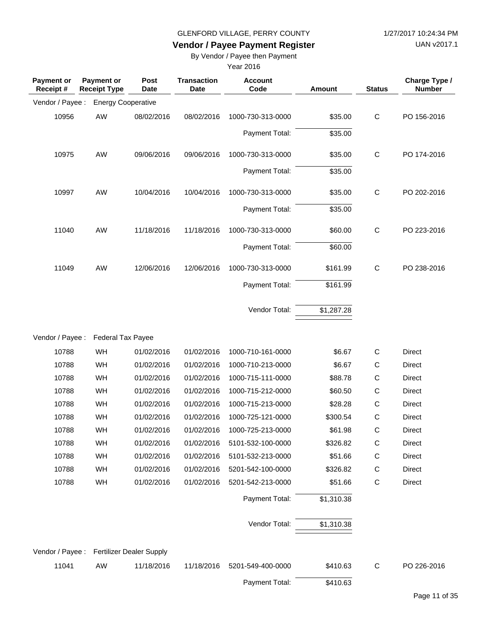UAN v2017.1

# **Vendor / Payee Payment Register**

By Vendor / Payee then Payment

| <b>Payment or</b><br>Receipt# | <b>Payment or</b><br><b>Receipt Type</b> | Post<br><b>Date</b>                       | <b>Transaction</b><br><b>Date</b> | <b>Account</b><br>Code | <b>Amount</b> | <b>Status</b> | Charge Type /<br><b>Number</b> |
|-------------------------------|------------------------------------------|-------------------------------------------|-----------------------------------|------------------------|---------------|---------------|--------------------------------|
| Vendor / Payee :              |                                          | <b>Energy Cooperative</b>                 |                                   |                        |               |               |                                |
| 10956                         | AW                                       | 08/02/2016                                | 08/02/2016                        | 1000-730-313-0000      | \$35.00       | $\mathsf{C}$  | PO 156-2016                    |
|                               |                                          |                                           |                                   | Payment Total:         | \$35.00       |               |                                |
| 10975                         | AW                                       | 09/06/2016                                | 09/06/2016                        | 1000-730-313-0000      | \$35.00       | $\mathsf C$   | PO 174-2016                    |
|                               |                                          |                                           |                                   | Payment Total:         | \$35.00       |               |                                |
| 10997                         | AW                                       | 10/04/2016                                | 10/04/2016                        | 1000-730-313-0000      | \$35.00       | $\mathsf C$   | PO 202-2016                    |
|                               |                                          |                                           |                                   | Payment Total:         | \$35.00       |               |                                |
| 11040                         | AW                                       | 11/18/2016                                | 11/18/2016                        | 1000-730-313-0000      | \$60.00       | $\mathsf C$   | PO 223-2016                    |
|                               |                                          |                                           |                                   | Payment Total:         | \$60.00       |               |                                |
| 11049                         | AW                                       | 12/06/2016                                | 12/06/2016                        | 1000-730-313-0000      | \$161.99      | $\mathsf{C}$  | PO 238-2016                    |
|                               |                                          |                                           |                                   | Payment Total:         | \$161.99      |               |                                |
|                               |                                          |                                           |                                   | Vendor Total:          | \$1,287.28    |               |                                |
|                               |                                          |                                           |                                   |                        |               |               |                                |
| Vendor / Payee :              |                                          | Federal Tax Payee                         |                                   |                        |               |               |                                |
| 10788                         | WH                                       | 01/02/2016                                | 01/02/2016                        | 1000-710-161-0000      | \$6.67        | $\mathsf{C}$  | Direct                         |
| 10788                         | WH                                       | 01/02/2016                                | 01/02/2016                        | 1000-710-213-0000      | \$6.67        | C             | Direct                         |
| 10788                         | WH                                       | 01/02/2016                                | 01/02/2016                        | 1000-715-111-0000      | \$88.78       | C             | Direct                         |
| 10788                         | WH                                       | 01/02/2016                                | 01/02/2016                        | 1000-715-212-0000      | \$60.50       | C             | Direct                         |
| 10788                         | WH                                       | 01/02/2016                                | 01/02/2016                        | 1000-715-213-0000      | \$28.28       | C             | Direct                         |
| 10788                         | WH                                       | 01/02/2016                                | 01/02/2016                        | 1000-725-121-0000      | \$300.54      | C             | Direct                         |
| 10788                         | WH                                       | 01/02/2016                                | 01/02/2016                        | 1000-725-213-0000      | \$61.98       | C             | Direct                         |
| 10788                         | WH                                       | 01/02/2016                                | 01/02/2016                        | 5101-532-100-0000      | \$326.82      | C             | Direct                         |
| 10788                         | WH                                       | 01/02/2016                                | 01/02/2016                        | 5101-532-213-0000      | \$51.66       | $\mathsf{C}$  | Direct                         |
| 10788                         | WH                                       | 01/02/2016                                | 01/02/2016                        | 5201-542-100-0000      | \$326.82      | C             | Direct                         |
| 10788                         | WH                                       | 01/02/2016                                | 01/02/2016                        | 5201-542-213-0000      | \$51.66       | $\mathsf{C}$  | Direct                         |
|                               |                                          |                                           |                                   | Payment Total:         | \$1,310.38    |               |                                |
|                               |                                          |                                           |                                   | Vendor Total:          | \$1,310.38    |               |                                |
|                               |                                          |                                           |                                   |                        |               |               |                                |
|                               |                                          | Vendor / Payee : Fertilizer Dealer Supply |                                   |                        |               |               |                                |
| 11041                         | AW                                       | 11/18/2016                                | 11/18/2016                        | 5201-549-400-0000      | \$410.63      | C             | PO 226-2016                    |
|                               |                                          |                                           |                                   | Payment Total:         | \$410.63      |               |                                |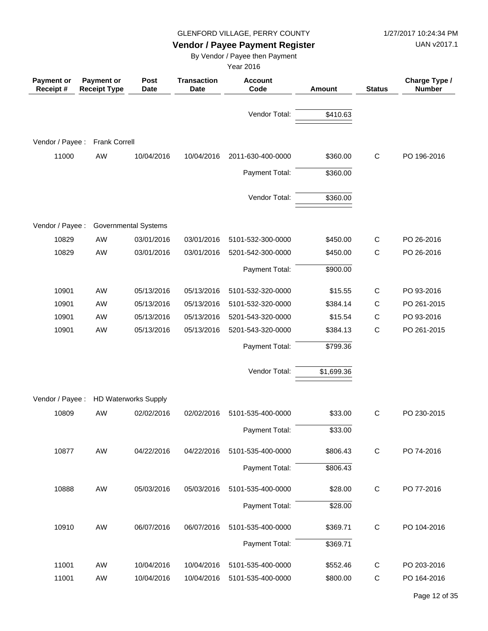UAN v2017.1

# **Vendor / Payee Payment Register**

By Vendor / Payee then Payment

| Payment or<br>Receipt# | Payment or<br><b>Receipt Type</b> | Post<br><b>Date</b>         | <b>Transaction</b><br><b>Date</b> | <b>Account</b><br>Code | Amount     | <b>Status</b> | Charge Type /<br><b>Number</b> |
|------------------------|-----------------------------------|-----------------------------|-----------------------------------|------------------------|------------|---------------|--------------------------------|
|                        |                                   |                             |                                   | Vendor Total:          | \$410.63   |               |                                |
| Vendor / Payee :       | <b>Frank Correll</b>              |                             |                                   |                        |            |               |                                |
| 11000                  | AW                                | 10/04/2016                  | 10/04/2016                        | 2011-630-400-0000      | \$360.00   | $\mathsf{C}$  | PO 196-2016                    |
|                        |                                   |                             |                                   | Payment Total:         | \$360.00   |               |                                |
|                        |                                   |                             |                                   | Vendor Total:          | \$360.00   |               |                                |
| Vendor / Payee :       |                                   | <b>Governmental Systems</b> |                                   |                        |            |               |                                |
| 10829                  | AW                                | 03/01/2016                  | 03/01/2016                        | 5101-532-300-0000      | \$450.00   | C             | PO 26-2016                     |
| 10829                  | <b>AW</b>                         | 03/01/2016                  | 03/01/2016                        | 5201-542-300-0000      | \$450.00   | $\mathsf{C}$  | PO 26-2016                     |
|                        |                                   |                             |                                   | Payment Total:         | \$900.00   |               |                                |
| 10901                  | AW                                | 05/13/2016                  | 05/13/2016                        | 5101-532-320-0000      | \$15.55    | $\mathsf{C}$  | PO 93-2016                     |
| 10901                  | AW                                | 05/13/2016                  | 05/13/2016                        | 5101-532-320-0000      | \$384.14   | C             | PO 261-2015                    |
| 10901                  | AW                                | 05/13/2016                  | 05/13/2016                        | 5201-543-320-0000      | \$15.54    | $\mathsf C$   | PO 93-2016                     |
| 10901                  | AW                                | 05/13/2016                  | 05/13/2016                        | 5201-543-320-0000      | \$384.13   | $\mathsf{C}$  | PO 261-2015                    |
|                        |                                   |                             |                                   | Payment Total:         | \$799.36   |               |                                |
|                        |                                   |                             |                                   | Vendor Total:          | \$1,699.36 |               |                                |
| Vendor / Payee :       |                                   | <b>HD Waterworks Supply</b> |                                   |                        |            |               |                                |
| 10809                  | AW                                | 02/02/2016                  | 02/02/2016                        | 5101-535-400-0000      | \$33.00    | $\mathsf{C}$  | PO 230-2015                    |
|                        |                                   |                             |                                   | Payment Total:         | \$33.00    |               |                                |
| 10877                  | AW                                | 04/22/2016                  | 04/22/2016                        | 5101-535-400-0000      | \$806.43   | $\mathsf{C}$  | PO 74-2016                     |
|                        |                                   |                             |                                   | Payment Total:         | \$806.43   |               |                                |
| 10888                  | AW                                | 05/03/2016                  | 05/03/2016                        | 5101-535-400-0000      | \$28.00    | $\mathsf{C}$  | PO 77-2016                     |
|                        |                                   |                             |                                   | Payment Total:         | \$28.00    |               |                                |
| 10910                  | AW                                | 06/07/2016                  | 06/07/2016                        | 5101-535-400-0000      | \$369.71   | $\mathsf{C}$  | PO 104-2016                    |
|                        |                                   |                             |                                   | Payment Total:         | \$369.71   |               |                                |
| 11001                  | AW                                | 10/04/2016                  | 10/04/2016                        | 5101-535-400-0000      | \$552.46   | C             | PO 203-2016                    |
| 11001                  | AW                                | 10/04/2016                  | 10/04/2016                        | 5101-535-400-0000      | \$800.00   | $\mathsf C$   | PO 164-2016                    |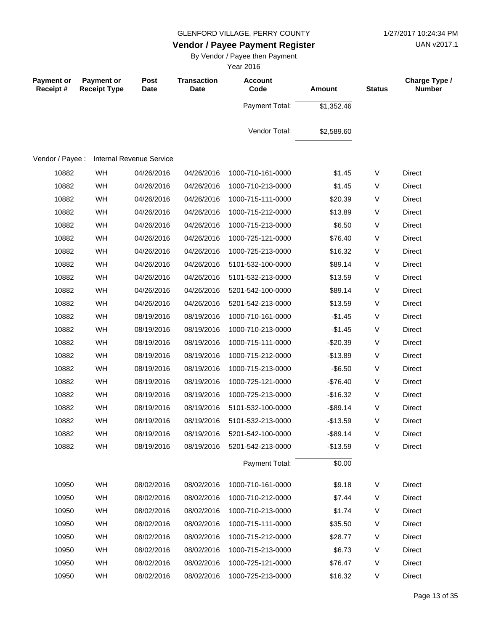UAN v2017.1

# **Vendor / Payee Payment Register**

By Vendor / Payee then Payment

| <b>Payment or</b><br>Receipt# | <b>Payment or</b><br><b>Receipt Type</b> | Post<br>Date                    | <b>Transaction</b><br><b>Date</b> | <b>Account</b><br>Code | <b>Amount</b> | <b>Status</b> | Charge Type /<br><b>Number</b> |
|-------------------------------|------------------------------------------|---------------------------------|-----------------------------------|------------------------|---------------|---------------|--------------------------------|
|                               |                                          |                                 |                                   | Payment Total:         | \$1,352.46    |               |                                |
|                               |                                          |                                 |                                   | Vendor Total:          | \$2,589.60    |               |                                |
| Vendor / Payee :              |                                          | <b>Internal Revenue Service</b> |                                   |                        |               |               |                                |
| 10882                         | WH                                       | 04/26/2016                      | 04/26/2016                        | 1000-710-161-0000      | \$1.45        | V             | Direct                         |
| 10882                         | WH                                       | 04/26/2016                      | 04/26/2016                        | 1000-710-213-0000      | \$1.45        | V             | <b>Direct</b>                  |
| 10882                         | WH                                       | 04/26/2016                      | 04/26/2016                        | 1000-715-111-0000      | \$20.39       | V             | Direct                         |
| 10882                         | WH                                       | 04/26/2016                      | 04/26/2016                        | 1000-715-212-0000      | \$13.89       | V             | Direct                         |
| 10882                         | WH                                       | 04/26/2016                      | 04/26/2016                        | 1000-715-213-0000      | \$6.50        | V             | Direct                         |
| 10882                         | WH                                       | 04/26/2016                      | 04/26/2016                        | 1000-725-121-0000      | \$76.40       | V             | Direct                         |
| 10882                         | WH                                       | 04/26/2016                      | 04/26/2016                        | 1000-725-213-0000      | \$16.32       | V             | <b>Direct</b>                  |
| 10882                         | WH                                       | 04/26/2016                      | 04/26/2016                        | 5101-532-100-0000      | \$89.14       | V             | Direct                         |
| 10882                         | WH                                       | 04/26/2016                      | 04/26/2016                        | 5101-532-213-0000      | \$13.59       | V             | Direct                         |
| 10882                         | WH                                       | 04/26/2016                      | 04/26/2016                        | 5201-542-100-0000      | \$89.14       | V             | <b>Direct</b>                  |
| 10882                         | WH                                       | 04/26/2016                      | 04/26/2016                        | 5201-542-213-0000      | \$13.59       | V             | <b>Direct</b>                  |
| 10882                         | WH                                       | 08/19/2016                      | 08/19/2016                        | 1000-710-161-0000      | $-$1.45$      | V             | <b>Direct</b>                  |
| 10882                         | WH                                       | 08/19/2016                      | 08/19/2016                        | 1000-710-213-0000      | $-$1.45$      | V             | <b>Direct</b>                  |
| 10882                         | WH                                       | 08/19/2016                      | 08/19/2016                        | 1000-715-111-0000      | $-$20.39$     | V             | Direct                         |
| 10882                         | WH                                       | 08/19/2016                      | 08/19/2016                        | 1000-715-212-0000      | $-$13.89$     | V             | <b>Direct</b>                  |
| 10882                         | WH                                       | 08/19/2016                      | 08/19/2016                        | 1000-715-213-0000      | $-$ \$6.50    | V             | <b>Direct</b>                  |
| 10882                         | WH                                       | 08/19/2016                      | 08/19/2016                        | 1000-725-121-0000      | $-$76.40$     | V             | Direct                         |
| 10882                         | WH                                       | 08/19/2016                      | 08/19/2016                        | 1000-725-213-0000      | $-$16.32$     | V             | <b>Direct</b>                  |
| 10882                         | WH                                       | 08/19/2016                      | 08/19/2016                        | 5101-532-100-0000      | $-$ \$89.14   | V             | Direct                         |
| 10882                         | WH                                       | 08/19/2016                      | 08/19/2016                        | 5101-532-213-0000      | $-$13.59$     | V             | <b>Direct</b>                  |
| 10882                         | WH                                       | 08/19/2016                      | 08/19/2016                        | 5201-542-100-0000      | $-$ \$89.14   | V             | Direct                         |
| 10882                         | WH                                       | 08/19/2016                      | 08/19/2016                        | 5201-542-213-0000      | $-$13.59$     | V             | Direct                         |
|                               |                                          |                                 |                                   | Payment Total:         | \$0.00        |               |                                |
| 10950                         | WH                                       | 08/02/2016                      | 08/02/2016                        | 1000-710-161-0000      | \$9.18        | V             | Direct                         |
| 10950                         | WH                                       | 08/02/2016                      | 08/02/2016                        | 1000-710-212-0000      | \$7.44        | V             | Direct                         |
| 10950                         | WH                                       | 08/02/2016                      | 08/02/2016                        | 1000-710-213-0000      | \$1.74        | V             | Direct                         |
| 10950                         | WH                                       | 08/02/2016                      | 08/02/2016                        | 1000-715-111-0000      | \$35.50       | V             | Direct                         |
| 10950                         | WH                                       | 08/02/2016                      | 08/02/2016                        | 1000-715-212-0000      | \$28.77       | V             | Direct                         |
| 10950                         | WH                                       | 08/02/2016                      | 08/02/2016                        | 1000-715-213-0000      | \$6.73        | V             | Direct                         |
| 10950                         | WH                                       | 08/02/2016                      | 08/02/2016                        | 1000-725-121-0000      | \$76.47       | V             | Direct                         |
| 10950                         | WH                                       | 08/02/2016                      | 08/02/2016                        | 1000-725-213-0000      | \$16.32       | V             | Direct                         |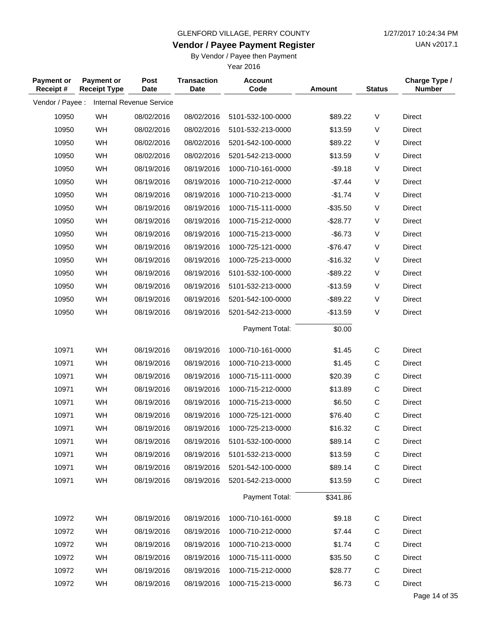**Vendor / Payee Payment Register**

UAN v2017.1

#### By Vendor / Payee then Payment

| <b>Payment or</b><br>Receipt# | Payment or<br><b>Receipt Type</b> | Post<br><b>Date</b>      | <b>Transaction</b><br><b>Date</b> | <b>Account</b><br>Code | <b>Amount</b> | <b>Status</b> | Charge Type /<br><b>Number</b> |
|-------------------------------|-----------------------------------|--------------------------|-----------------------------------|------------------------|---------------|---------------|--------------------------------|
| Vendor / Payee :              |                                   | Internal Revenue Service |                                   |                        |               |               |                                |
| 10950                         | WH                                | 08/02/2016               | 08/02/2016                        | 5101-532-100-0000      | \$89.22       | V             | Direct                         |
| 10950                         | WH                                | 08/02/2016               | 08/02/2016                        | 5101-532-213-0000      | \$13.59       | V             | <b>Direct</b>                  |
| 10950                         | WH                                | 08/02/2016               | 08/02/2016                        | 5201-542-100-0000      | \$89.22       | V             | Direct                         |
| 10950                         | WH                                | 08/02/2016               | 08/02/2016                        | 5201-542-213-0000      | \$13.59       | V             | <b>Direct</b>                  |
| 10950                         | WH                                | 08/19/2016               | 08/19/2016                        | 1000-710-161-0000      | $-$9.18$      | V             | <b>Direct</b>                  |
| 10950                         | WH                                | 08/19/2016               | 08/19/2016                        | 1000-710-212-0000      | $-$7.44$      | V             | <b>Direct</b>                  |
| 10950                         | WH                                | 08/19/2016               | 08/19/2016                        | 1000-710-213-0000      | $-$1.74$      | $\sf V$       | <b>Direct</b>                  |
| 10950                         | WH                                | 08/19/2016               | 08/19/2016                        | 1000-715-111-0000      | $-$35.50$     | V             | <b>Direct</b>                  |
| 10950                         | WH                                | 08/19/2016               | 08/19/2016                        | 1000-715-212-0000      | $-$28.77$     | V             | Direct                         |
| 10950                         | WH                                | 08/19/2016               | 08/19/2016                        | 1000-715-213-0000      | $-$6.73$      | $\sf V$       | <b>Direct</b>                  |
| 10950                         | WH                                | 08/19/2016               | 08/19/2016                        | 1000-725-121-0000      | $-$76.47$     | V             | <b>Direct</b>                  |
| 10950                         | WH                                | 08/19/2016               | 08/19/2016                        | 1000-725-213-0000      | $-$16.32$     | V             | <b>Direct</b>                  |
| 10950                         | WH                                | 08/19/2016               | 08/19/2016                        | 5101-532-100-0000      | $-$ \$89.22   | V             | <b>Direct</b>                  |
| 10950                         | WH                                | 08/19/2016               | 08/19/2016                        | 5101-532-213-0000      | $-$13.59$     | V             | Direct                         |
| 10950                         | WH                                | 08/19/2016               | 08/19/2016                        | 5201-542-100-0000      | $-$ \$89.22   | V             | <b>Direct</b>                  |
| 10950                         | WH                                | 08/19/2016               | 08/19/2016                        | 5201-542-213-0000      | $-$13.59$     | $\sf V$       | <b>Direct</b>                  |
|                               |                                   |                          |                                   | Payment Total:         | \$0.00        |               |                                |
| 10971                         | WH                                | 08/19/2016               | 08/19/2016                        | 1000-710-161-0000      | \$1.45        | $\mathsf C$   | <b>Direct</b>                  |
| 10971                         | WH                                | 08/19/2016               | 08/19/2016                        | 1000-710-213-0000      | \$1.45        | $\mathsf C$   | Direct                         |
| 10971                         | WH                                | 08/19/2016               | 08/19/2016                        | 1000-715-111-0000      | \$20.39       | $\mathsf C$   | <b>Direct</b>                  |
| 10971                         | WH                                | 08/19/2016               | 08/19/2016                        | 1000-715-212-0000      | \$13.89       | $\mathsf C$   | Direct                         |
| 10971                         | WH                                | 08/19/2016               | 08/19/2016                        | 1000-715-213-0000      | \$6.50        | $\mathsf C$   | <b>Direct</b>                  |
| 10971                         | WH                                | 08/19/2016               | 08/19/2016                        | 1000-725-121-0000      | \$76.40       | $\mathsf C$   | Direct                         |
| 10971                         | WH                                | 08/19/2016               | 08/19/2016                        | 1000-725-213-0000      | \$16.32       | $\mathsf C$   | <b>Direct</b>                  |
| 10971                         | WH                                | 08/19/2016               | 08/19/2016                        | 5101-532-100-0000      | \$89.14       | C             | Direct                         |
| 10971                         | WH                                | 08/19/2016               | 08/19/2016                        | 5101-532-213-0000      | \$13.59       | C             | Direct                         |
| 10971                         | <b>WH</b>                         | 08/19/2016               | 08/19/2016                        | 5201-542-100-0000      | \$89.14       | C             | Direct                         |
| 10971                         | WH                                | 08/19/2016               | 08/19/2016                        | 5201-542-213-0000      | \$13.59       | $\mathsf C$   | Direct                         |
|                               |                                   |                          |                                   | Payment Total:         | \$341.86      |               |                                |
| 10972                         | WH                                | 08/19/2016               | 08/19/2016                        | 1000-710-161-0000      | \$9.18        | C             | Direct                         |
| 10972                         | WH                                | 08/19/2016               | 08/19/2016                        | 1000-710-212-0000      | \$7.44        | С             | Direct                         |
| 10972                         | WH                                | 08/19/2016               | 08/19/2016                        | 1000-710-213-0000      | \$1.74        | C             | Direct                         |
| 10972                         | WH                                | 08/19/2016               | 08/19/2016                        | 1000-715-111-0000      | \$35.50       | C             | Direct                         |
| 10972                         | WH                                | 08/19/2016               | 08/19/2016                        | 1000-715-212-0000      | \$28.77       | C             | Direct                         |
| 10972                         | WH                                | 08/19/2016               | 08/19/2016                        | 1000-715-213-0000      | \$6.73        | $\mathbf C$   | Direct                         |
|                               |                                   |                          |                                   |                        |               |               |                                |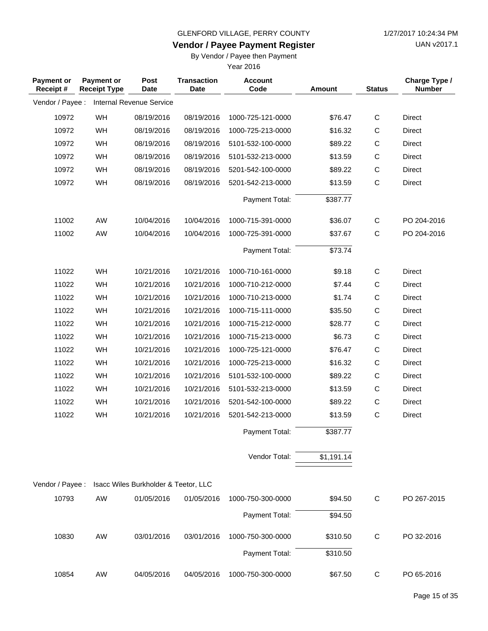**Vendor / Payee Payment Register**

UAN v2017.1

### By Vendor / Payee then Payment

| <b>Payment or</b><br>Receipt# | <b>Payment or</b><br><b>Receipt Type</b> | Post<br>Date                         | <b>Transaction</b><br><b>Date</b> | <b>Account</b><br>Code | <b>Amount</b> | <b>Status</b> | Charge Type /<br><b>Number</b> |
|-------------------------------|------------------------------------------|--------------------------------------|-----------------------------------|------------------------|---------------|---------------|--------------------------------|
| Vendor / Payee :              |                                          | Internal Revenue Service             |                                   |                        |               |               |                                |
| 10972                         | WH                                       | 08/19/2016                           | 08/19/2016                        | 1000-725-121-0000      | \$76.47       | $\mathsf C$   | Direct                         |
| 10972                         | WH                                       | 08/19/2016                           | 08/19/2016                        | 1000-725-213-0000      | \$16.32       | $\mathsf{C}$  | <b>Direct</b>                  |
| 10972                         | WH                                       | 08/19/2016                           | 08/19/2016                        | 5101-532-100-0000      | \$89.22       | $\mathsf C$   | Direct                         |
| 10972                         | WH                                       | 08/19/2016                           | 08/19/2016                        | 5101-532-213-0000      | \$13.59       | C             | <b>Direct</b>                  |
| 10972                         | WH                                       | 08/19/2016                           | 08/19/2016                        | 5201-542-100-0000      | \$89.22       | C             | Direct                         |
| 10972                         | WH                                       | 08/19/2016                           | 08/19/2016                        | 5201-542-213-0000      | \$13.59       | $\mathsf C$   | <b>Direct</b>                  |
|                               |                                          |                                      |                                   | Payment Total:         | \$387.77      |               |                                |
| 11002                         | AW                                       | 10/04/2016                           | 10/04/2016                        | 1000-715-391-0000      | \$36.07       | $\mathsf{C}$  | PO 204-2016                    |
| 11002                         | AW                                       | 10/04/2016                           | 10/04/2016                        | 1000-725-391-0000      | \$37.67       | C             | PO 204-2016                    |
|                               |                                          |                                      |                                   | Payment Total:         | \$73.74       |               |                                |
| 11022                         | WH                                       | 10/21/2016                           | 10/21/2016                        | 1000-710-161-0000      | \$9.18        | $\mathsf{C}$  | <b>Direct</b>                  |
| 11022                         | WH                                       | 10/21/2016                           | 10/21/2016                        | 1000-710-212-0000      | \$7.44        | C             | <b>Direct</b>                  |
| 11022                         | WH                                       | 10/21/2016                           | 10/21/2016                        | 1000-710-213-0000      | \$1.74        | $\mathsf C$   | <b>Direct</b>                  |
| 11022                         | WH                                       | 10/21/2016                           | 10/21/2016                        | 1000-715-111-0000      | \$35.50       | $\mathsf C$   | Direct                         |
| 11022                         | WH                                       | 10/21/2016                           | 10/21/2016                        | 1000-715-212-0000      | \$28.77       | $\mathsf C$   | <b>Direct</b>                  |
| 11022                         | WH                                       | 10/21/2016                           | 10/21/2016                        | 1000-715-213-0000      | \$6.73        | C             | <b>Direct</b>                  |
| 11022                         | WH                                       | 10/21/2016                           | 10/21/2016                        | 1000-725-121-0000      | \$76.47       | $\mathsf C$   | <b>Direct</b>                  |
| 11022                         | WH                                       | 10/21/2016                           | 10/21/2016                        | 1000-725-213-0000      | \$16.32       | $\mathsf{C}$  | <b>Direct</b>                  |
| 11022                         | WH                                       | 10/21/2016                           | 10/21/2016                        | 5101-532-100-0000      | \$89.22       | C             | <b>Direct</b>                  |
| 11022                         | WH                                       | 10/21/2016                           | 10/21/2016                        | 5101-532-213-0000      | \$13.59       | $\mathsf{C}$  | Direct                         |
| 11022                         | WH                                       | 10/21/2016                           | 10/21/2016                        | 5201-542-100-0000      | \$89.22       | C             | Direct                         |
| 11022                         | WH                                       | 10/21/2016                           | 10/21/2016                        | 5201-542-213-0000      | \$13.59       | C             | <b>Direct</b>                  |
|                               |                                          |                                      |                                   | Payment Total:         | \$387.77      |               |                                |
|                               |                                          |                                      |                                   | Vendor Total:          | \$1,191.14    |               |                                |
| Vendor / Payee :              |                                          | Isacc Wiles Burkholder & Teetor, LLC |                                   |                        |               |               |                                |
| 10793                         | AW                                       | 01/05/2016                           | 01/05/2016                        | 1000-750-300-0000      | \$94.50       | C             | PO 267-2015                    |
|                               |                                          |                                      |                                   | Payment Total:         | \$94.50       |               |                                |
| 10830                         | AW                                       | 03/01/2016                           | 03/01/2016                        | 1000-750-300-0000      | \$310.50      | $\mathbf C$   | PO 32-2016                     |
|                               |                                          |                                      |                                   | Payment Total:         | \$310.50      |               |                                |
| 10854                         | AW                                       | 04/05/2016                           | 04/05/2016                        | 1000-750-300-0000      | \$67.50       | $\mathsf C$   | PO 65-2016                     |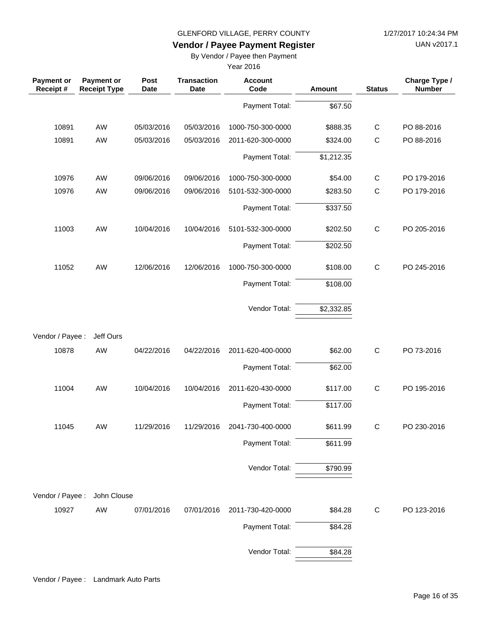UAN v2017.1

### **Vendor / Payee Payment Register**

By Vendor / Payee then Payment

| Payment or<br>Receipt # | <b>Payment or</b><br><b>Receipt Type</b> | Post<br><b>Date</b> | <b>Transaction</b><br>Date | <b>Account</b><br>Code | Amount     | <b>Status</b> | Charge Type /<br><b>Number</b> |
|-------------------------|------------------------------------------|---------------------|----------------------------|------------------------|------------|---------------|--------------------------------|
|                         |                                          |                     |                            | Payment Total:         | \$67.50    |               |                                |
| 10891                   | AW                                       | 05/03/2016          | 05/03/2016                 | 1000-750-300-0000      | \$888.35   | $\mathsf C$   | PO 88-2016                     |
| 10891                   | AW                                       | 05/03/2016          | 05/03/2016                 | 2011-620-300-0000      | \$324.00   | $\mathsf C$   | PO 88-2016                     |
|                         |                                          |                     |                            | Payment Total:         | \$1,212.35 |               |                                |
| 10976                   | AW                                       | 09/06/2016          | 09/06/2016                 | 1000-750-300-0000      | \$54.00    | $\mathsf{C}$  | PO 179-2016                    |
| 10976                   | AW                                       | 09/06/2016          | 09/06/2016                 | 5101-532-300-0000      | \$283.50   | $\mathsf C$   | PO 179-2016                    |
|                         |                                          |                     |                            | Payment Total:         | \$337.50   |               |                                |
| 11003                   | AW                                       | 10/04/2016          | 10/04/2016                 | 5101-532-300-0000      | \$202.50   | $\mathsf C$   | PO 205-2016                    |
|                         |                                          |                     |                            | Payment Total:         | \$202.50   |               |                                |
| 11052                   | AW                                       | 12/06/2016          | 12/06/2016                 | 1000-750-300-0000      | \$108.00   | $\mathsf C$   | PO 245-2016                    |
|                         |                                          |                     |                            | Payment Total:         | \$108.00   |               |                                |
|                         |                                          |                     |                            | Vendor Total:          | \$2,332.85 |               |                                |
| Vendor / Payee :        | Jeff Ours                                |                     |                            |                        |            |               |                                |
| 10878                   | AW                                       | 04/22/2016          | 04/22/2016                 | 2011-620-400-0000      | \$62.00    | $\mathsf C$   | PO 73-2016                     |
|                         |                                          |                     |                            | Payment Total:         | \$62.00    |               |                                |
| 11004                   | AW                                       | 10/04/2016          | 10/04/2016                 | 2011-620-430-0000      | \$117.00   | $\mathsf C$   | PO 195-2016                    |
|                         |                                          |                     |                            | Payment Total:         | \$117.00   |               |                                |
| 11045                   | AW                                       | 11/29/2016          | 11/29/2016                 | 2041-730-400-0000      | \$611.99   | C             | PO 230-2016                    |
|                         |                                          |                     |                            | Payment Total:         | \$611.99   |               |                                |
|                         |                                          |                     |                            | Vendor Total:          | \$790.99   |               |                                |
| Vendor / Payee :        | John Clouse                              |                     |                            |                        |            |               |                                |
| 10927                   | AW                                       | 07/01/2016          | 07/01/2016                 | 2011-730-420-0000      | \$84.28    | $\mathsf C$   | PO 123-2016                    |
|                         |                                          |                     |                            | Payment Total:         | \$84.28    |               |                                |
|                         |                                          |                     |                            | Vendor Total:          | \$84.28    |               |                                |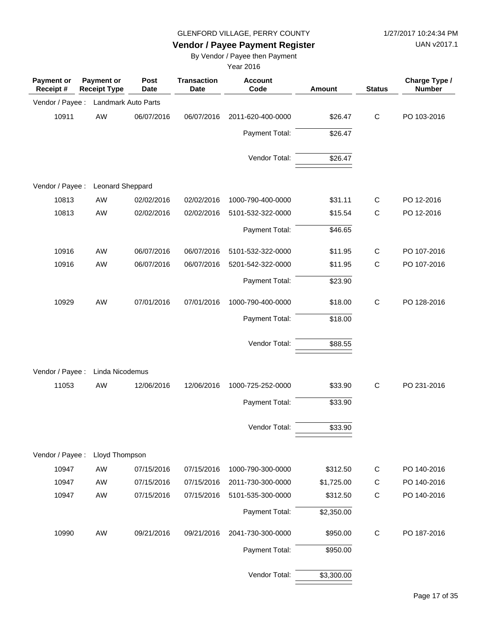UAN v2017.1

# **Vendor / Payee Payment Register**

By Vendor / Payee then Payment

| <b>Payment or</b><br>Receipt # | <b>Payment or</b><br><b>Receipt Type</b> | Post<br><b>Date</b> | <b>Transaction</b><br><b>Date</b> | <b>Account</b><br>Code | <b>Amount</b> | <b>Status</b> | Charge Type /<br><b>Number</b> |
|--------------------------------|------------------------------------------|---------------------|-----------------------------------|------------------------|---------------|---------------|--------------------------------|
| Vendor / Payee :               | Landmark Auto Parts                      |                     |                                   |                        |               |               |                                |
| 10911                          | AW                                       | 06/07/2016          | 06/07/2016                        | 2011-620-400-0000      | \$26.47       | $\mathsf{C}$  | PO 103-2016                    |
|                                |                                          |                     |                                   | Payment Total:         | \$26.47       |               |                                |
|                                |                                          |                     |                                   | Vendor Total:          | \$26.47       |               |                                |
| Vendor / Payee :               | Leonard Sheppard                         |                     |                                   |                        |               |               |                                |
| 10813                          | AW                                       | 02/02/2016          | 02/02/2016                        | 1000-790-400-0000      | \$31.11       | C             | PO 12-2016                     |
| 10813                          | AW                                       | 02/02/2016          | 02/02/2016                        | 5101-532-322-0000      | \$15.54       | $\mathsf{C}$  | PO 12-2016                     |
|                                |                                          |                     |                                   | Payment Total:         | \$46.65       |               |                                |
| 10916                          | AW                                       | 06/07/2016          | 06/07/2016                        | 5101-532-322-0000      | \$11.95       | $\mathsf{C}$  | PO 107-2016                    |
| 10916                          | AW                                       | 06/07/2016          | 06/07/2016                        | 5201-542-322-0000      | \$11.95       | $\mathsf C$   | PO 107-2016                    |
|                                |                                          |                     |                                   | Payment Total:         | \$23.90       |               |                                |
| 10929                          | AW                                       | 07/01/2016          | 07/01/2016                        | 1000-790-400-0000      | \$18.00       | $\mathsf C$   | PO 128-2016                    |
|                                |                                          |                     |                                   | Payment Total:         | \$18.00       |               |                                |
|                                |                                          |                     |                                   | Vendor Total:          | \$88.55       |               |                                |
| Vendor / Payee :               | Linda Nicodemus                          |                     |                                   |                        |               |               |                                |
| 11053                          | AW                                       | 12/06/2016          | 12/06/2016                        | 1000-725-252-0000      | \$33.90       | C             | PO 231-2016                    |
|                                |                                          |                     |                                   | Payment Total:         | \$33.90       |               |                                |
|                                |                                          |                     |                                   | Vendor Total:          | \$33.90       |               |                                |
|                                |                                          |                     |                                   |                        |               |               |                                |
| Vendor / Payee :               | Lloyd Thompson                           |                     |                                   |                        |               |               |                                |
| 10947                          | AW                                       | 07/15/2016          | 07/15/2016                        | 1000-790-300-0000      | \$312.50      | $\mathsf{C}$  | PO 140-2016                    |
| 10947                          | AW                                       | 07/15/2016          | 07/15/2016                        | 2011-730-300-0000      | \$1,725.00    | $\mathsf{C}$  | PO 140-2016                    |
| 10947                          | AW                                       | 07/15/2016          | 07/15/2016                        | 5101-535-300-0000      | \$312.50      | $\mathsf C$   | PO 140-2016                    |
|                                |                                          |                     |                                   | Payment Total:         | \$2,350.00    |               |                                |
| 10990                          | AW                                       | 09/21/2016          | 09/21/2016                        | 2041-730-300-0000      | \$950.00      | C             | PO 187-2016                    |
|                                |                                          |                     |                                   | Payment Total:         | \$950.00      |               |                                |
|                                |                                          |                     |                                   | Vendor Total:          | \$3,300.00    |               |                                |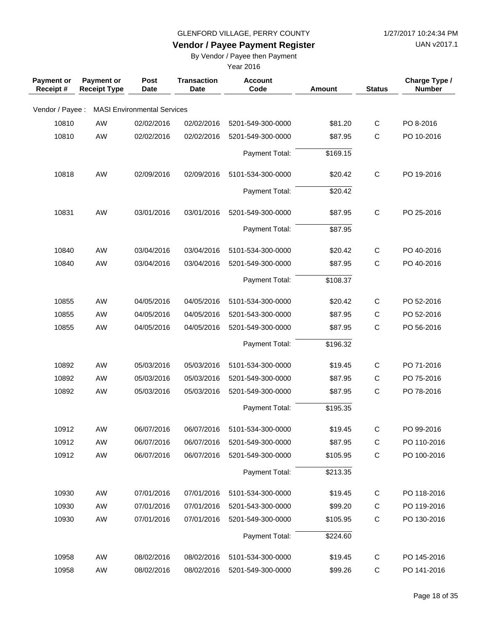UAN v2017.1

# **Vendor / Payee Payment Register**

By Vendor / Payee then Payment

| <b>Payment or</b><br>Receipt# | Payment or<br><b>Receipt Type</b> | Post<br><b>Date</b>                | <b>Transaction</b><br><b>Date</b> | <b>Account</b><br>Code | <b>Amount</b> | <b>Status</b> | Charge Type /<br><b>Number</b> |
|-------------------------------|-----------------------------------|------------------------------------|-----------------------------------|------------------------|---------------|---------------|--------------------------------|
| Vendor / Payee :              |                                   | <b>MASI Environmental Services</b> |                                   |                        |               |               |                                |
| 10810                         | AW                                | 02/02/2016                         | 02/02/2016                        | 5201-549-300-0000      | \$81.20       | C             | PO 8-2016                      |
| 10810                         | AW                                | 02/02/2016                         | 02/02/2016                        | 5201-549-300-0000      | \$87.95       | $\mathsf C$   | PO 10-2016                     |
|                               |                                   |                                    |                                   | Payment Total:         | \$169.15      |               |                                |
| 10818                         | AW                                | 02/09/2016                         | 02/09/2016                        | 5101-534-300-0000      | \$20.42       | $\mathsf{C}$  | PO 19-2016                     |
|                               |                                   |                                    |                                   | Payment Total:         | \$20.42       |               |                                |
| 10831                         | AW                                | 03/01/2016                         | 03/01/2016                        | 5201-549-300-0000      | \$87.95       | $\mathsf{C}$  | PO 25-2016                     |
|                               |                                   |                                    |                                   | Payment Total:         | \$87.95       |               |                                |
| 10840                         | AW                                | 03/04/2016                         | 03/04/2016                        | 5101-534-300-0000      | \$20.42       | C             | PO 40-2016                     |
| 10840                         | AW                                | 03/04/2016                         | 03/04/2016                        | 5201-549-300-0000      | \$87.95       | $\mathsf{C}$  | PO 40-2016                     |
|                               |                                   |                                    |                                   | Payment Total:         | \$108.37      |               |                                |
| 10855                         | AW                                | 04/05/2016                         | 04/05/2016                        | 5101-534-300-0000      | \$20.42       | $\mathbf C$   | PO 52-2016                     |
| 10855                         | AW                                | 04/05/2016                         | 04/05/2016                        | 5201-543-300-0000      | \$87.95       | $\mathsf{C}$  | PO 52-2016                     |
| 10855                         | AW                                | 04/05/2016                         | 04/05/2016                        | 5201-549-300-0000      | \$87.95       | $\mathsf{C}$  | PO 56-2016                     |
|                               |                                   |                                    |                                   | Payment Total:         | \$196.32      |               |                                |
| 10892                         | AW                                | 05/03/2016                         | 05/03/2016                        | 5101-534-300-0000      | \$19.45       | C             | PO 71-2016                     |
| 10892                         | AW                                | 05/03/2016                         | 05/03/2016                        | 5201-549-300-0000      | \$87.95       | C             | PO 75-2016                     |
| 10892                         | AW                                | 05/03/2016                         | 05/03/2016                        | 5201-549-300-0000      | \$87.95       | $\mathsf{C}$  | PO 78-2016                     |
|                               |                                   |                                    |                                   | Payment Total:         | \$195.35      |               |                                |
| 10912                         | AW                                | 06/07/2016                         | 06/07/2016                        | 5101-534-300-0000      | \$19.45       | $\mathsf{C}$  | PO 99-2016                     |
| 10912                         | AW                                | 06/07/2016                         | 06/07/2016                        | 5201-549-300-0000      | \$87.95       | $\mathsf C$   | PO 110-2016                    |
| 10912                         | AW                                | 06/07/2016                         | 06/07/2016                        | 5201-549-300-0000      | \$105.95      | $\mathsf C$   | PO 100-2016                    |
|                               |                                   |                                    |                                   | Payment Total:         | \$213.35      |               |                                |
| 10930                         | AW                                | 07/01/2016                         | 07/01/2016                        | 5101-534-300-0000      | \$19.45       | C             | PO 118-2016                    |
| 10930                         | AW                                | 07/01/2016                         | 07/01/2016                        | 5201-543-300-0000      | \$99.20       | $\mathsf C$   | PO 119-2016                    |
| 10930                         | AW                                | 07/01/2016                         | 07/01/2016                        | 5201-549-300-0000      | \$105.95      | $\mathsf C$   | PO 130-2016                    |
|                               |                                   |                                    |                                   | Payment Total:         | \$224.60      |               |                                |
| 10958                         | AW                                | 08/02/2016                         | 08/02/2016                        | 5101-534-300-0000      | \$19.45       | $\mathsf C$   | PO 145-2016                    |
| 10958                         | AW                                | 08/02/2016                         | 08/02/2016                        | 5201-549-300-0000      | \$99.26       | $\mathsf C$   | PO 141-2016                    |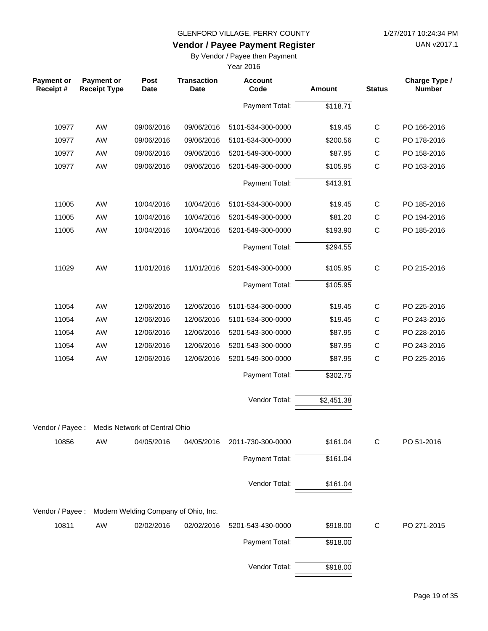UAN v2017.1

# **Vendor / Payee Payment Register**

By Vendor / Payee then Payment

| <b>Payment or</b><br>Receipt# | <b>Payment or</b><br><b>Receipt Type</b> | Post<br><b>Date</b>           | <b>Transaction</b><br>Date           | <b>Account</b><br>Code | <b>Amount</b> | <b>Status</b> | Charge Type /<br><b>Number</b> |
|-------------------------------|------------------------------------------|-------------------------------|--------------------------------------|------------------------|---------------|---------------|--------------------------------|
|                               |                                          |                               |                                      | Payment Total:         | \$118.71      |               |                                |
| 10977                         | AW                                       | 09/06/2016                    | 09/06/2016                           | 5101-534-300-0000      | \$19.45       | $\mathsf C$   | PO 166-2016                    |
| 10977                         | AW                                       | 09/06/2016                    | 09/06/2016                           | 5101-534-300-0000      | \$200.56      | $\mathsf C$   | PO 178-2016                    |
| 10977                         | AW                                       | 09/06/2016                    | 09/06/2016                           | 5201-549-300-0000      | \$87.95       | $\mathsf C$   | PO 158-2016                    |
| 10977                         | AW                                       | 09/06/2016                    | 09/06/2016                           | 5201-549-300-0000      | \$105.95      | $\mathsf{C}$  | PO 163-2016                    |
|                               |                                          |                               |                                      | Payment Total:         | \$413.91      |               |                                |
| 11005                         | AW                                       | 10/04/2016                    | 10/04/2016                           | 5101-534-300-0000      | \$19.45       | $\mathsf{C}$  | PO 185-2016                    |
| 11005                         | AW                                       | 10/04/2016                    | 10/04/2016                           | 5201-549-300-0000      | \$81.20       | C             | PO 194-2016                    |
| 11005                         | AW                                       | 10/04/2016                    | 10/04/2016                           | 5201-549-300-0000      | \$193.90      | $\mathsf C$   | PO 185-2016                    |
|                               |                                          |                               |                                      | Payment Total:         | \$294.55      |               |                                |
| 11029                         | AW                                       | 11/01/2016                    | 11/01/2016                           | 5201-549-300-0000      | \$105.95      | $\mathsf C$   | PO 215-2016                    |
|                               |                                          |                               |                                      | Payment Total:         | \$105.95      |               |                                |
| 11054                         | AW                                       | 12/06/2016                    | 12/06/2016                           | 5101-534-300-0000      | \$19.45       | $\mathsf C$   | PO 225-2016                    |
| 11054                         | AW                                       | 12/06/2016                    | 12/06/2016                           | 5101-534-300-0000      | \$19.45       | C             | PO 243-2016                    |
| 11054                         | AW                                       | 12/06/2016                    | 12/06/2016                           | 5201-543-300-0000      | \$87.95       | $\mathsf C$   | PO 228-2016                    |
| 11054                         | AW                                       | 12/06/2016                    | 12/06/2016                           | 5201-543-300-0000      | \$87.95       | $\mathsf C$   | PO 243-2016                    |
| 11054                         | AW                                       | 12/06/2016                    | 12/06/2016                           | 5201-549-300-0000      | \$87.95       | $\mathsf C$   | PO 225-2016                    |
|                               |                                          |                               |                                      | Payment Total:         | \$302.75      |               |                                |
|                               |                                          |                               |                                      | Vendor Total:          | \$2,451.38    |               |                                |
| Vendor / Payee :              |                                          | Medis Network of Central Ohio |                                      |                        |               |               |                                |
| 10856                         | AW                                       | 04/05/2016                    | 04/05/2016                           | 2011-730-300-0000      | \$161.04      | $\mathsf{C}$  | PO 51-2016                     |
|                               |                                          |                               |                                      | Payment Total:         | \$161.04      |               |                                |
|                               |                                          |                               |                                      | Vendor Total:          | \$161.04      |               |                                |
| Vendor / Payee :              |                                          |                               | Modern Welding Company of Ohio, Inc. |                        |               |               |                                |
| 10811                         | AW                                       | 02/02/2016                    | 02/02/2016                           | 5201-543-430-0000      | \$918.00      | $\mathsf C$   | PO 271-2015                    |
|                               |                                          |                               |                                      | Payment Total:         | \$918.00      |               |                                |
|                               |                                          |                               |                                      | Vendor Total:          | \$918.00      |               |                                |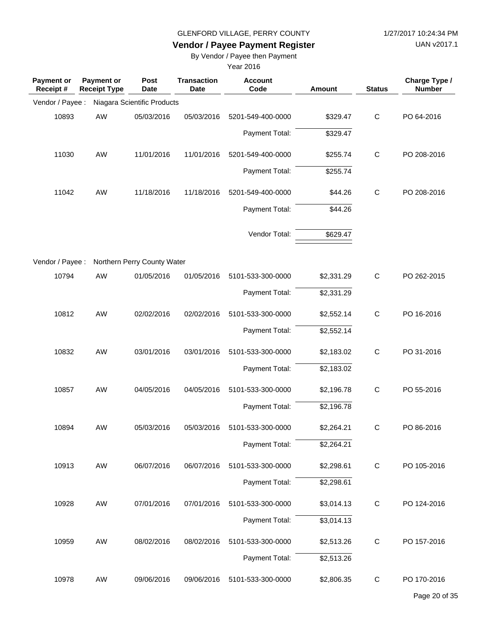UAN v2017.1

# **Vendor / Payee Payment Register**

By Vendor / Payee then Payment

| <b>Payment or</b><br>Receipt # | <b>Payment or</b><br><b>Receipt Type</b> | Post<br><b>Date</b>         | <b>Transaction</b><br><b>Date</b> | <b>Account</b><br>Code | Amount     | <b>Status</b> | Charge Type /<br><b>Number</b> |
|--------------------------------|------------------------------------------|-----------------------------|-----------------------------------|------------------------|------------|---------------|--------------------------------|
| Vendor / Payee :               |                                          | Niagara Scientific Products |                                   |                        |            |               |                                |
| 10893                          | AW                                       | 05/03/2016                  | 05/03/2016                        | 5201-549-400-0000      | \$329.47   | $\mathbf C$   | PO 64-2016                     |
|                                |                                          |                             |                                   | Payment Total:         | \$329.47   |               |                                |
| 11030                          | AW                                       | 11/01/2016                  | 11/01/2016                        | 5201-549-400-0000      | \$255.74   | $\mathbf C$   | PO 208-2016                    |
|                                |                                          |                             |                                   | Payment Total:         | \$255.74   |               |                                |
| 11042                          | AW                                       | 11/18/2016                  | 11/18/2016                        | 5201-549-400-0000      | \$44.26    | $\mathbf C$   | PO 208-2016                    |
|                                |                                          |                             |                                   | Payment Total:         | \$44.26    |               |                                |
|                                |                                          |                             |                                   | Vendor Total:          | \$629.47   |               |                                |
| Vendor / Payee :               |                                          | Northern Perry County Water |                                   |                        |            |               |                                |
| 10794                          | AW                                       | 01/05/2016                  | 01/05/2016                        | 5101-533-300-0000      | \$2,331.29 | $\mathbf C$   | PO 262-2015                    |
|                                |                                          |                             |                                   | Payment Total:         | \$2,331.29 |               |                                |
| 10812                          | AW                                       | 02/02/2016                  | 02/02/2016                        | 5101-533-300-0000      | \$2,552.14 | $\mathbf C$   | PO 16-2016                     |
|                                |                                          |                             |                                   | Payment Total:         | \$2,552.14 |               |                                |
| 10832                          | AW                                       | 03/01/2016                  | 03/01/2016                        | 5101-533-300-0000      | \$2,183.02 | C             | PO 31-2016                     |
|                                |                                          |                             |                                   | Payment Total:         | \$2,183.02 |               |                                |
| 10857                          | AW                                       | 04/05/2016                  | 04/05/2016                        | 5101-533-300-0000      | \$2,196.78 | $\mathbf C$   | PO 55-2016                     |
|                                |                                          |                             |                                   | Payment Total:         | \$2,196.78 |               |                                |
| 10894                          | AW                                       | 05/03/2016                  | 05/03/2016                        | 5101-533-300-0000      | \$2,264.21 | C             | PO 86-2016                     |
|                                |                                          |                             |                                   | Payment Total:         | \$2,264.21 |               |                                |
| 10913                          | AW                                       | 06/07/2016                  | 06/07/2016                        | 5101-533-300-0000      | \$2,298.61 | $\mathbf C$   | PO 105-2016                    |
|                                |                                          |                             |                                   | Payment Total:         | \$2,298.61 |               |                                |
| 10928                          | AW                                       | 07/01/2016                  | 07/01/2016                        | 5101-533-300-0000      | \$3,014.13 | $\mathbf C$   | PO 124-2016                    |
|                                |                                          |                             |                                   | Payment Total:         | \$3,014.13 |               |                                |
| 10959                          | AW                                       | 08/02/2016                  | 08/02/2016                        | 5101-533-300-0000      | \$2,513.26 | $\mathbf C$   | PO 157-2016                    |
|                                |                                          |                             |                                   | Payment Total:         | \$2,513.26 |               |                                |
| 10978                          | AW                                       | 09/06/2016                  | 09/06/2016                        | 5101-533-300-0000      | \$2,806.35 | C             | PO 170-2016                    |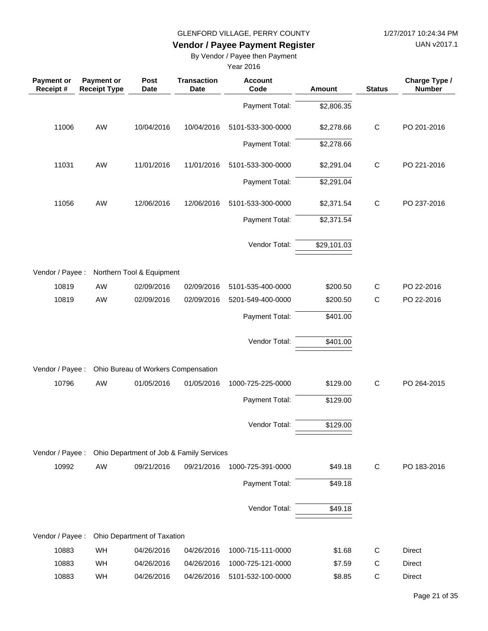UAN v2017.1

# **Vendor / Payee Payment Register**

By Vendor / Payee then Payment

| <b>Payment or</b><br>Receipt # | <b>Payment or</b><br><b>Receipt Type</b> | Post<br><b>Date</b>                 | <b>Transaction</b><br>Date               | <b>Account</b><br>Code | <b>Amount</b> | <b>Status</b> | Charge Type /<br><b>Number</b> |
|--------------------------------|------------------------------------------|-------------------------------------|------------------------------------------|------------------------|---------------|---------------|--------------------------------|
|                                |                                          |                                     |                                          | Payment Total:         | \$2,806.35    |               |                                |
| 11006                          | AW                                       | 10/04/2016                          | 10/04/2016                               | 5101-533-300-0000      | \$2,278.66    | $\mathsf C$   | PO 201-2016                    |
|                                |                                          |                                     |                                          | Payment Total:         | \$2,278.66    |               |                                |
| 11031                          | AW                                       | 11/01/2016                          | 11/01/2016                               | 5101-533-300-0000      | \$2,291.04    | $\mathsf C$   | PO 221-2016                    |
|                                |                                          |                                     |                                          | Payment Total:         | \$2,291.04    |               |                                |
| 11056                          | AW                                       | 12/06/2016                          | 12/06/2016                               | 5101-533-300-0000      | \$2,371.54    | $\mathsf C$   | PO 237-2016                    |
|                                |                                          |                                     |                                          | Payment Total:         | \$2,371.54    |               |                                |
|                                |                                          |                                     |                                          | Vendor Total:          | \$29,101.03   |               |                                |
| Vendor / Payee :               |                                          | Northern Tool & Equipment           |                                          |                        |               |               |                                |
| 10819                          | AW                                       | 02/09/2016                          | 02/09/2016                               | 5101-535-400-0000      | \$200.50      | $\mathsf{C}$  | PO 22-2016                     |
| 10819                          | AW                                       | 02/09/2016                          | 02/09/2016                               | 5201-549-400-0000      | \$200.50      | $\mathsf C$   | PO 22-2016                     |
|                                |                                          |                                     |                                          | Payment Total:         | \$401.00      |               |                                |
|                                |                                          |                                     |                                          | Vendor Total:          | \$401.00      |               |                                |
| Vendor / Payee :               |                                          | Ohio Bureau of Workers Compensation |                                          |                        |               |               |                                |
| 10796                          | AW                                       | 01/05/2016                          | 01/05/2016                               | 1000-725-225-0000      | \$129.00      | $\mathsf{C}$  | PO 264-2015                    |
|                                |                                          |                                     |                                          | Payment Total:         | \$129.00      |               |                                |
|                                |                                          |                                     |                                          | Vendor Total:          | \$129.00      |               |                                |
| Vendor / Payee :               |                                          |                                     | Ohio Department of Job & Family Services |                        |               |               |                                |
| 10992                          | AW                                       | 09/21/2016                          | 09/21/2016                               | 1000-725-391-0000      | \$49.18       | $\mathsf C$   | PO 183-2016                    |
|                                |                                          |                                     |                                          | Payment Total:         | \$49.18       |               |                                |
|                                |                                          |                                     |                                          | Vendor Total:          | \$49.18       |               |                                |
| Vendor / Payee :               |                                          | Ohio Department of Taxation         |                                          |                        |               |               |                                |
| 10883                          | WH                                       | 04/26/2016                          | 04/26/2016                               | 1000-715-111-0000      | \$1.68        | $\mathsf{C}$  | <b>Direct</b>                  |
| 10883                          | WH                                       | 04/26/2016                          | 04/26/2016                               | 1000-725-121-0000      | \$7.59        | $\mathsf{C}$  | Direct                         |
| 10883                          | WH                                       | 04/26/2016                          | 04/26/2016                               | 5101-532-100-0000      | \$8.85        | $\mathsf C$   | Direct                         |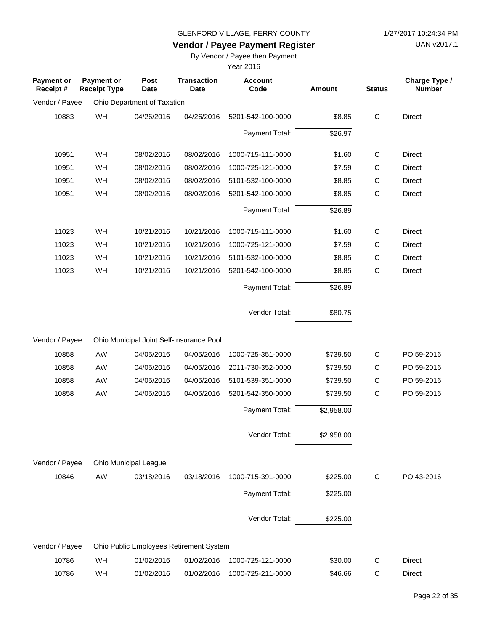UAN v2017.1

# **Vendor / Payee Payment Register**

By Vendor / Payee then Payment

| Payment or<br>Receipt# | Payment or<br><b>Receipt Type</b> | Post<br><b>Date</b>          | <b>Transaction</b><br>Date               | <b>Account</b><br>Code | <b>Amount</b>          | <b>Status</b> | Charge Type /<br><b>Number</b> |
|------------------------|-----------------------------------|------------------------------|------------------------------------------|------------------------|------------------------|---------------|--------------------------------|
| Vendor / Payee :       |                                   | Ohio Department of Taxation  |                                          |                        |                        |               |                                |
| 10883                  | WH                                | 04/26/2016                   | 04/26/2016                               | 5201-542-100-0000      | \$8.85                 | $\mathsf C$   | <b>Direct</b>                  |
|                        |                                   |                              |                                          | Payment Total:         | \$26.97                |               |                                |
| 10951                  | WH                                | 08/02/2016                   | 08/02/2016                               | 1000-715-111-0000      | \$1.60                 | $\mathsf{C}$  | <b>Direct</b>                  |
| 10951                  | WH                                | 08/02/2016                   | 08/02/2016                               | 1000-725-121-0000      | \$7.59                 | C             | <b>Direct</b>                  |
| 10951                  | WH                                | 08/02/2016                   | 08/02/2016                               | 5101-532-100-0000      | \$8.85                 | $\mathsf C$   | <b>Direct</b>                  |
| 10951                  | WH                                | 08/02/2016                   | 08/02/2016                               | 5201-542-100-0000      | \$8.85                 | $\mathsf C$   | <b>Direct</b>                  |
|                        |                                   |                              |                                          | Payment Total:         | \$26.89                |               |                                |
| 11023                  | WH                                | 10/21/2016                   | 10/21/2016                               | 1000-715-111-0000      | \$1.60                 | $\mathsf C$   | <b>Direct</b>                  |
| 11023                  | WH                                | 10/21/2016                   | 10/21/2016                               | 1000-725-121-0000      | \$7.59                 | C             | <b>Direct</b>                  |
| 11023                  | WH                                | 10/21/2016                   | 10/21/2016                               | 5101-532-100-0000      | \$8.85                 | $\mathsf C$   | Direct                         |
| 11023                  | WH                                | 10/21/2016                   | 10/21/2016                               | 5201-542-100-0000      | \$8.85                 | $\mathsf{C}$  | Direct                         |
|                        |                                   |                              |                                          | Payment Total:         | \$26.89                |               |                                |
|                        |                                   |                              |                                          | Vendor Total:          | \$80.75                |               |                                |
| Vendor / Payee :       |                                   |                              | Ohio Municipal Joint Self-Insurance Pool |                        |                        |               |                                |
| 10858                  | AW                                | 04/05/2016                   | 04/05/2016                               | 1000-725-351-0000      | \$739.50               | $\mathsf{C}$  | PO 59-2016                     |
| 10858                  | AW                                | 04/05/2016                   | 04/05/2016                               | 2011-730-352-0000      | \$739.50               | $\mathsf C$   | PO 59-2016                     |
| 10858                  | AW                                | 04/05/2016                   | 04/05/2016                               | 5101-539-351-0000      | \$739.50               | $\mathsf C$   | PO 59-2016                     |
| 10858                  | AW                                | 04/05/2016                   | 04/05/2016                               | 5201-542-350-0000      | \$739.50               | $\mathsf C$   | PO 59-2016                     |
|                        |                                   |                              |                                          | Payment Total:         | \$2,958.00             |               |                                |
|                        |                                   |                              |                                          | Vendor Total:          | $\overline{$2,958.00}$ |               |                                |
| Vendor / Payee :       |                                   | <b>Ohio Municipal League</b> |                                          |                        |                        |               |                                |
| 10846                  | AW                                | 03/18/2016                   | 03/18/2016                               | 1000-715-391-0000      | \$225.00               | $\mathsf{C}$  | PO 43-2016                     |
|                        |                                   |                              |                                          | Payment Total:         | \$225.00               |               |                                |
|                        |                                   |                              |                                          | Vendor Total:          | \$225.00               |               |                                |
| Vendor / Payee :       |                                   |                              | Ohio Public Employees Retirement System  |                        |                        |               |                                |
| 10786                  | WH                                | 01/02/2016                   | 01/02/2016                               | 1000-725-121-0000      | \$30.00                | C             | <b>Direct</b>                  |
| 10786                  | WH                                | 01/02/2016                   | 01/02/2016                               | 1000-725-211-0000      | \$46.66                | $\mathsf{C}$  | Direct                         |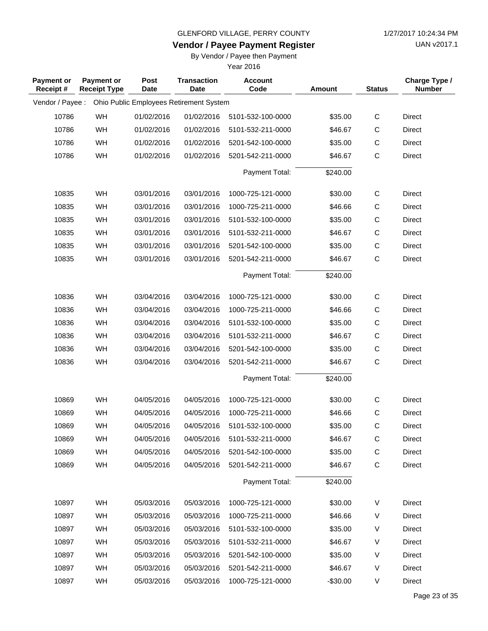**Vendor / Payee Payment Register**

UAN v2017.1

### By Vendor / Payee then Payment

| <b>Payment or</b><br>Receipt# | <b>Payment or</b><br><b>Receipt Type</b> | Post<br>Date | <b>Transaction</b><br><b>Date</b>       | <b>Account</b><br>Code | Amount    | <b>Status</b> | Charge Type /<br><b>Number</b> |
|-------------------------------|------------------------------------------|--------------|-----------------------------------------|------------------------|-----------|---------------|--------------------------------|
| Vendor / Payee :              |                                          |              | Ohio Public Employees Retirement System |                        |           |               |                                |
| 10786                         | WH                                       | 01/02/2016   | 01/02/2016                              | 5101-532-100-0000      | \$35.00   | C             | Direct                         |
| 10786                         | WH                                       | 01/02/2016   | 01/02/2016                              | 5101-532-211-0000      | \$46.67   | C             | Direct                         |
| 10786                         | WH                                       | 01/02/2016   | 01/02/2016                              | 5201-542-100-0000      | \$35.00   | $\mathsf C$   | Direct                         |
| 10786                         | WH                                       | 01/02/2016   | 01/02/2016                              | 5201-542-211-0000      | \$46.67   | $\mathsf C$   | <b>Direct</b>                  |
|                               |                                          |              |                                         | Payment Total:         | \$240.00  |               |                                |
| 10835                         | WH                                       | 03/01/2016   | 03/01/2016                              | 1000-725-121-0000      | \$30.00   | $\mathsf C$   | Direct                         |
| 10835                         | WH                                       | 03/01/2016   | 03/01/2016                              | 1000-725-211-0000      | \$46.66   | C             | Direct                         |
| 10835                         | WH                                       | 03/01/2016   | 03/01/2016                              | 5101-532-100-0000      | \$35.00   | $\mathsf C$   | Direct                         |
| 10835                         | WH                                       | 03/01/2016   | 03/01/2016                              | 5101-532-211-0000      | \$46.67   | $\mathsf C$   | Direct                         |
| 10835                         | WH                                       | 03/01/2016   | 03/01/2016                              | 5201-542-100-0000      | \$35.00   | C             | Direct                         |
| 10835                         | WH                                       | 03/01/2016   | 03/01/2016                              | 5201-542-211-0000      | \$46.67   | $\mathsf C$   | Direct                         |
|                               |                                          |              |                                         | Payment Total:         | \$240.00  |               |                                |
| 10836                         | WH                                       | 03/04/2016   | 03/04/2016                              | 1000-725-121-0000      | \$30.00   | C             | Direct                         |
| 10836                         | WH                                       | 03/04/2016   | 03/04/2016                              | 1000-725-211-0000      | \$46.66   | $\mathsf C$   | Direct                         |
| 10836                         | WH                                       | 03/04/2016   | 03/04/2016                              | 5101-532-100-0000      | \$35.00   | $\mathsf C$   | Direct                         |
| 10836                         | WH                                       | 03/04/2016   | 03/04/2016                              | 5101-532-211-0000      | \$46.67   | $\mathsf C$   | Direct                         |
| 10836                         | WH                                       | 03/04/2016   | 03/04/2016                              | 5201-542-100-0000      | \$35.00   | $\mathsf C$   | Direct                         |
| 10836                         | WH                                       | 03/04/2016   | 03/04/2016                              | 5201-542-211-0000      | \$46.67   | $\mathsf C$   | Direct                         |
|                               |                                          |              |                                         | Payment Total:         | \$240.00  |               |                                |
| 10869                         | WH                                       | 04/05/2016   | 04/05/2016                              | 1000-725-121-0000      | \$30.00   | C             | Direct                         |
| 10869                         | WH                                       | 04/05/2016   | 04/05/2016                              | 1000-725-211-0000      | \$46.66   | $\mathsf{C}$  | Direct                         |
| 10869                         | WH                                       | 04/05/2016   | 04/05/2016                              | 5101-532-100-0000      | \$35.00   | $\mathsf C$   | Direct                         |
| 10869                         | WH                                       | 04/05/2016   | 04/05/2016                              | 5101-532-211-0000      | \$46.67   | C             | Direct                         |
| 10869                         | WH                                       | 04/05/2016   | 04/05/2016                              | 5201-542-100-0000      | \$35.00   | C             | Direct                         |
| 10869                         | WH                                       | 04/05/2016   | 04/05/2016                              | 5201-542-211-0000      | \$46.67   | $\mathsf{C}$  | Direct                         |
|                               |                                          |              |                                         | Payment Total:         | \$240.00  |               |                                |
| 10897                         | WH                                       | 05/03/2016   | 05/03/2016                              | 1000-725-121-0000      | \$30.00   | V             | Direct                         |
| 10897                         | WH                                       | 05/03/2016   | 05/03/2016                              | 1000-725-211-0000      | \$46.66   | V             | <b>Direct</b>                  |
| 10897                         | WH                                       | 05/03/2016   | 05/03/2016                              | 5101-532-100-0000      | \$35.00   | V             | Direct                         |
| 10897                         | WH                                       | 05/03/2016   | 05/03/2016                              | 5101-532-211-0000      | \$46.67   | V             | Direct                         |
| 10897                         | WH                                       | 05/03/2016   | 05/03/2016                              | 5201-542-100-0000      | \$35.00   | V             | Direct                         |
| 10897                         | WH                                       | 05/03/2016   | 05/03/2016                              | 5201-542-211-0000      | \$46.67   | V             | Direct                         |
| 10897                         | WH                                       | 05/03/2016   | 05/03/2016                              | 1000-725-121-0000      | $-$30.00$ | V             | Direct                         |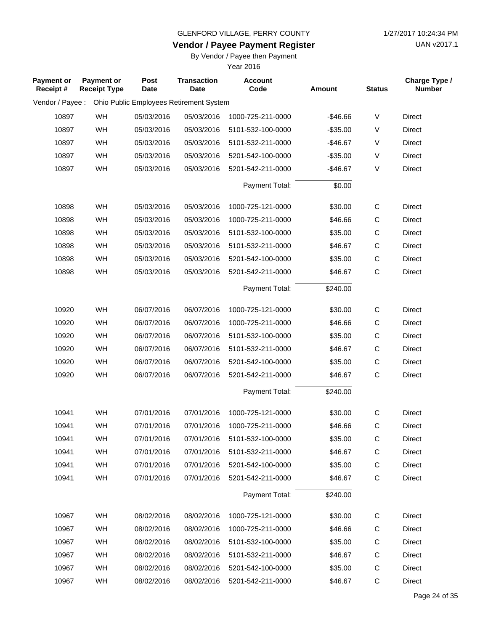**Vendor / Payee Payment Register**

UAN v2017.1

### By Vendor / Payee then Payment

| <b>Payment or</b><br>Receipt# | <b>Payment or</b><br><b>Receipt Type</b> | <b>Post</b><br><b>Date</b> | <b>Transaction</b><br>Date              | <b>Account</b><br>Code | <b>Amount</b> | <b>Status</b> | Charge Type /<br><b>Number</b> |
|-------------------------------|------------------------------------------|----------------------------|-----------------------------------------|------------------------|---------------|---------------|--------------------------------|
| Vendor / Payee :              |                                          |                            | Ohio Public Employees Retirement System |                        |               |               |                                |
| 10897                         | WH                                       | 05/03/2016                 | 05/03/2016                              | 1000-725-211-0000      | $-$46.66$     | V             | <b>Direct</b>                  |
| 10897                         | WH                                       | 05/03/2016                 | 05/03/2016                              | 5101-532-100-0000      | $-$35.00$     | V             | Direct                         |
| 10897                         | WH                                       | 05/03/2016                 | 05/03/2016                              | 5101-532-211-0000      | $-$46.67$     | V             | Direct                         |
| 10897                         | WH                                       | 05/03/2016                 | 05/03/2016                              | 5201-542-100-0000      | $-$ \$35.00   | V             | Direct                         |
| 10897                         | WH                                       | 05/03/2016                 | 05/03/2016                              | 5201-542-211-0000      | $-$46.67$     | V             | <b>Direct</b>                  |
|                               |                                          |                            |                                         | Payment Total:         | \$0.00        |               |                                |
| 10898                         | WH                                       | 05/03/2016                 | 05/03/2016                              | 1000-725-121-0000      | \$30.00       | C             | <b>Direct</b>                  |
| 10898                         | <b>WH</b>                                | 05/03/2016                 | 05/03/2016                              | 1000-725-211-0000      | \$46.66       | C             | Direct                         |
| 10898                         | WH                                       | 05/03/2016                 | 05/03/2016                              | 5101-532-100-0000      | \$35.00       | $\mathsf C$   | <b>Direct</b>                  |
| 10898                         | WH                                       | 05/03/2016                 | 05/03/2016                              | 5101-532-211-0000      | \$46.67       | $\mathsf C$   | <b>Direct</b>                  |
| 10898                         | WH                                       | 05/03/2016                 | 05/03/2016                              | 5201-542-100-0000      | \$35.00       | $\mathsf C$   | <b>Direct</b>                  |
| 10898                         | WH                                       | 05/03/2016                 | 05/03/2016                              | 5201-542-211-0000      | \$46.67       | $\mathsf C$   | Direct                         |
|                               |                                          |                            |                                         | Payment Total:         | \$240.00      |               |                                |
| 10920                         | WH                                       | 06/07/2016                 | 06/07/2016                              | 1000-725-121-0000      | \$30.00       | $\mathsf C$   | Direct                         |
| 10920                         | WH                                       | 06/07/2016                 | 06/07/2016                              | 1000-725-211-0000      | \$46.66       | C             | Direct                         |
| 10920                         | WH                                       | 06/07/2016                 | 06/07/2016                              | 5101-532-100-0000      | \$35.00       | $\mathsf C$   | <b>Direct</b>                  |
| 10920                         | WH                                       | 06/07/2016                 | 06/07/2016                              | 5101-532-211-0000      | \$46.67       | С             | Direct                         |
| 10920                         | WH                                       | 06/07/2016                 | 06/07/2016                              | 5201-542-100-0000      | \$35.00       | $\mathsf C$   | Direct                         |
| 10920                         | <b>WH</b>                                | 06/07/2016                 | 06/07/2016                              | 5201-542-211-0000      | \$46.67       | $\mathsf C$   | Direct                         |
|                               |                                          |                            |                                         | Payment Total:         | \$240.00      |               |                                |
| 10941                         | WH                                       | 07/01/2016                 | 07/01/2016                              | 1000-725-121-0000      | \$30.00       | C             | Direct                         |
| 10941                         | WH                                       | 07/01/2016                 | 07/01/2016                              | 1000-725-211-0000      | \$46.66       | $\mathsf C$   | Direct                         |
| 10941                         | WH                                       | 07/01/2016                 | 07/01/2016                              | 5101-532-100-0000      | \$35.00       | C             | Direct                         |
| 10941                         | WH                                       | 07/01/2016                 | 07/01/2016                              | 5101-532-211-0000      | \$46.67       | C             | Direct                         |
| 10941                         | WH                                       | 07/01/2016                 | 07/01/2016                              | 5201-542-100-0000      | \$35.00       | C             | Direct                         |
| 10941                         | WH                                       | 07/01/2016                 | 07/01/2016                              | 5201-542-211-0000      | \$46.67       | $\mathsf{C}$  | Direct                         |
|                               |                                          |                            |                                         | Payment Total:         | \$240.00      |               |                                |
| 10967                         | <b>WH</b>                                | 08/02/2016                 | 08/02/2016                              | 1000-725-121-0000      | \$30.00       | $\mathsf{C}$  | Direct                         |
| 10967                         | WH                                       | 08/02/2016                 | 08/02/2016                              | 1000-725-211-0000      | \$46.66       | C             | Direct                         |
| 10967                         | <b>WH</b>                                | 08/02/2016                 | 08/02/2016                              | 5101-532-100-0000      | \$35.00       | C             | Direct                         |
| 10967                         | WH                                       | 08/02/2016                 | 08/02/2016                              | 5101-532-211-0000      | \$46.67       | $\mathsf{C}$  | Direct                         |
| 10967                         | WH                                       | 08/02/2016                 | 08/02/2016                              | 5201-542-100-0000      | \$35.00       | C             | Direct                         |
| 10967                         | WH                                       | 08/02/2016                 | 08/02/2016                              | 5201-542-211-0000      | \$46.67       | $\mathsf C$   | Direct                         |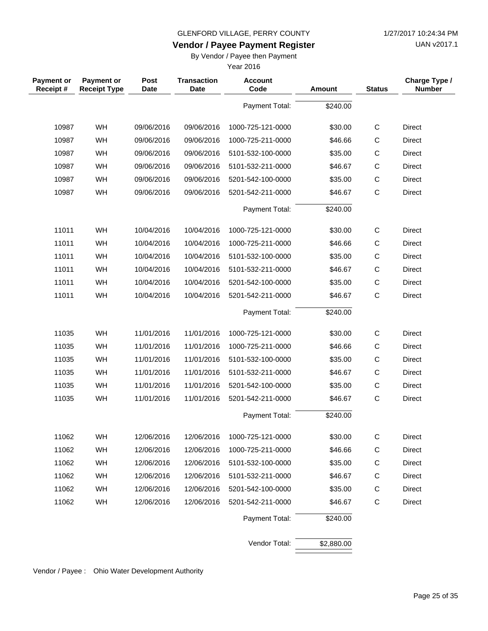UAN v2017.1

### **Vendor / Payee Payment Register**

By Vendor / Payee then Payment

Year 2016

| <b>Payment or</b><br>Receipt# | <b>Payment or</b><br><b>Receipt Type</b> | Post<br><b>Date</b> | <b>Transaction</b><br><b>Date</b> | <b>Account</b><br>Code | <b>Amount</b> | <b>Status</b> | Charge Type /<br><b>Number</b> |
|-------------------------------|------------------------------------------|---------------------|-----------------------------------|------------------------|---------------|---------------|--------------------------------|
|                               |                                          |                     |                                   | Payment Total:         | \$240.00      |               |                                |
| 10987                         | WH                                       | 09/06/2016          | 09/06/2016                        | 1000-725-121-0000      | \$30.00       | $\mathsf C$   | <b>Direct</b>                  |
| 10987                         | WH                                       | 09/06/2016          | 09/06/2016                        | 1000-725-211-0000      | \$46.66       | $\mathsf{C}$  | <b>Direct</b>                  |
| 10987                         | WH                                       | 09/06/2016          | 09/06/2016                        | 5101-532-100-0000      | \$35.00       | $\mathsf C$   | Direct                         |
| 10987                         | WH                                       | 09/06/2016          | 09/06/2016                        | 5101-532-211-0000      | \$46.67       | C             | <b>Direct</b>                  |
| 10987                         | WH                                       | 09/06/2016          | 09/06/2016                        | 5201-542-100-0000      | \$35.00       | $\mathsf C$   | Direct                         |
| 10987                         | WH                                       | 09/06/2016          | 09/06/2016                        | 5201-542-211-0000      | \$46.67       | $\mathsf{C}$  | <b>Direct</b>                  |
|                               |                                          |                     |                                   | Payment Total:         | \$240.00      |               |                                |
| 11011                         | WH                                       | 10/04/2016          | 10/04/2016                        | 1000-725-121-0000      | \$30.00       | $\mathsf C$   | <b>Direct</b>                  |
| 11011                         | WH                                       | 10/04/2016          | 10/04/2016                        | 1000-725-211-0000      | \$46.66       | $\mathsf{C}$  | <b>Direct</b>                  |
| 11011                         | WH                                       | 10/04/2016          | 10/04/2016                        | 5101-532-100-0000      | \$35.00       | C             | <b>Direct</b>                  |
| 11011                         | WH                                       | 10/04/2016          | 10/04/2016                        | 5101-532-211-0000      | \$46.67       | $\mathsf{C}$  | <b>Direct</b>                  |
| 11011                         | WH                                       | 10/04/2016          | 10/04/2016                        | 5201-542-100-0000      | \$35.00       | $\mathsf C$   | Direct                         |
| 11011                         | WH                                       | 10/04/2016          | 10/04/2016                        | 5201-542-211-0000      | \$46.67       | $\mathsf{C}$  | <b>Direct</b>                  |
|                               |                                          |                     |                                   | Payment Total:         | \$240.00      |               |                                |
| 11035                         | WH                                       | 11/01/2016          | 11/01/2016                        | 1000-725-121-0000      | \$30.00       | $\mathsf C$   | <b>Direct</b>                  |
| 11035                         | WH                                       | 11/01/2016          | 11/01/2016                        | 1000-725-211-0000      | \$46.66       | C             | <b>Direct</b>                  |
| 11035                         | WH                                       | 11/01/2016          | 11/01/2016                        | 5101-532-100-0000      | \$35.00       | $\mathsf C$   | <b>Direct</b>                  |
| 11035                         | WH                                       | 11/01/2016          | 11/01/2016                        | 5101-532-211-0000      | \$46.67       | $\mathsf C$   | <b>Direct</b>                  |
| 11035                         | WH                                       | 11/01/2016          | 11/01/2016                        | 5201-542-100-0000      | \$35.00       | C             | <b>Direct</b>                  |
| 11035                         | WH                                       | 11/01/2016          | 11/01/2016                        | 5201-542-211-0000      | \$46.67       | $\mathsf{C}$  | Direct                         |
|                               |                                          |                     |                                   | Payment Total:         | \$240.00      |               |                                |
| 11062                         | WH                                       | 12/06/2016          | 12/06/2016                        | 1000-725-121-0000      | \$30.00       | $\mathsf{C}$  | Direct                         |
| 11062                         | WH                                       | 12/06/2016          | 12/06/2016                        | 1000-725-211-0000      | \$46.66       | C             | Direct                         |
| 11062                         | WH                                       | 12/06/2016          | 12/06/2016                        | 5101-532-100-0000      | \$35.00       | $\mathsf C$   | Direct                         |
| 11062                         | WH                                       | 12/06/2016          | 12/06/2016                        | 5101-532-211-0000      | \$46.67       | C             | Direct                         |
| 11062                         | WH                                       | 12/06/2016          | 12/06/2016                        | 5201-542-100-0000      | \$35.00       | $\mathsf C$   | Direct                         |
| 11062                         | WH                                       | 12/06/2016          | 12/06/2016                        | 5201-542-211-0000      | \$46.67       | $\mathsf C$   | Direct                         |
|                               |                                          |                     |                                   | Payment Total:         | \$240.00      |               |                                |
|                               |                                          |                     |                                   | Vendor Total:          | \$2,880.00    |               |                                |

Vendor / Payee : Ohio Water Development Authority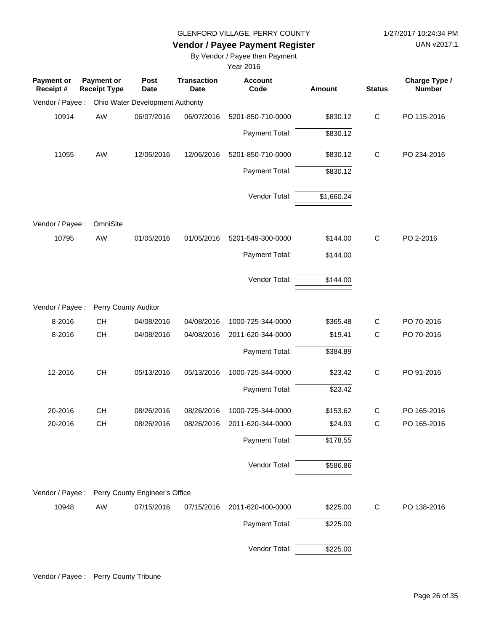UAN v2017.1

### **Vendor / Payee Payment Register**

By Vendor / Payee then Payment

| Payment or<br>Receipt# | Payment or<br><b>Receipt Type</b> | Post<br><b>Date</b>              | <b>Transaction</b><br><b>Date</b> | <b>Account</b><br>Code | Amount     | <b>Status</b> | Charge Type /<br><b>Number</b> |
|------------------------|-----------------------------------|----------------------------------|-----------------------------------|------------------------|------------|---------------|--------------------------------|
| Vendor / Payee :       |                                   | Ohio Water Development Authority |                                   |                        |            |               |                                |
| 10914                  | AW                                | 06/07/2016                       | 06/07/2016                        | 5201-850-710-0000      | \$830.12   | $\mathsf{C}$  | PO 115-2016                    |
|                        |                                   |                                  |                                   | Payment Total:         | \$830.12   |               |                                |
| 11055                  | AW                                | 12/06/2016                       | 12/06/2016                        | 5201-850-710-0000      | \$830.12   | $\mathsf{C}$  | PO 234-2016                    |
|                        |                                   |                                  |                                   | Payment Total:         | \$830.12   |               |                                |
|                        |                                   |                                  |                                   | Vendor Total:          | \$1,660.24 |               |                                |
| Vendor / Payee :       | OmniSite                          |                                  |                                   |                        |            |               |                                |
| 10795                  | AW                                | 01/05/2016                       | 01/05/2016                        | 5201-549-300-0000      | \$144.00   | $\mathsf{C}$  | PO 2-2016                      |
|                        |                                   |                                  |                                   | Payment Total:         | \$144.00   |               |                                |
|                        |                                   |                                  |                                   | Vendor Total:          | \$144.00   |               |                                |
| Vendor / Payee :       | Perry County Auditor              |                                  |                                   |                        |            |               |                                |
| 8-2016                 | <b>CH</b>                         | 04/08/2016                       | 04/08/2016                        | 1000-725-344-0000      | \$365.48   | $\mathsf{C}$  | PO 70-2016                     |
| 8-2016                 | <b>CH</b>                         | 04/08/2016                       | 04/08/2016                        | 2011-620-344-0000      | \$19.41    | $\mathsf{C}$  | PO 70-2016                     |
|                        |                                   |                                  |                                   | Payment Total:         | \$384.89   |               |                                |
| 12-2016                | <b>CH</b>                         | 05/13/2016                       | 05/13/2016                        | 1000-725-344-0000      | \$23.42    | $\mathsf C$   | PO 91-2016                     |
|                        |                                   |                                  |                                   | Payment Total:         | \$23.42    |               |                                |
| 20-2016                | <b>CH</b>                         | 08/26/2016                       | 08/26/2016                        | 1000-725-344-0000      | \$153.62   | $\mathsf{C}$  | PO 165-2016                    |
| 20-2016                | <b>CH</b>                         | 08/26/2016                       | 08/26/2016                        | 2011-620-344-0000      | \$24.93    | $\mathsf{C}$  | PO 165-2016                    |
|                        |                                   |                                  |                                   | Payment Total:         | \$178.55   |               |                                |
|                        |                                   |                                  |                                   | Vendor Total:          | \$586.86   |               |                                |
| Vendor / Payee :       |                                   | Perry County Engineer's Office   |                                   |                        |            |               |                                |
| 10948                  | AW                                | 07/15/2016                       | 07/15/2016                        | 2011-620-400-0000      | \$225.00   | $\mathsf{C}$  | PO 138-2016                    |
|                        |                                   |                                  |                                   | Payment Total:         | \$225.00   |               |                                |
|                        |                                   |                                  |                                   | Vendor Total:          | \$225.00   |               |                                |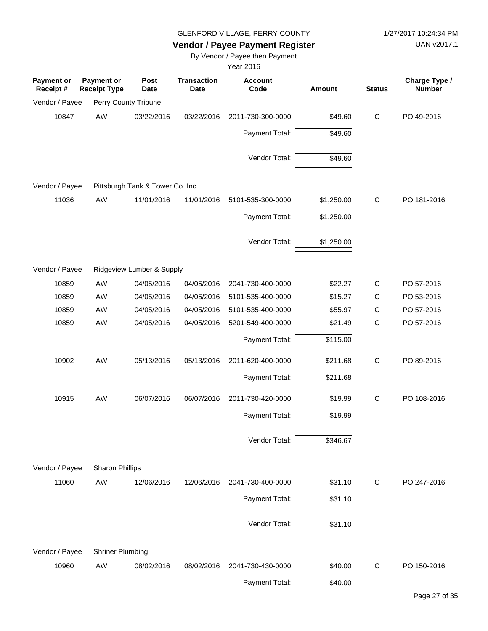UAN v2017.1

# **Vendor / Payee Payment Register**

By Vendor / Payee then Payment

| <b>Payment or</b><br>Receipt # | <b>Payment or</b><br><b>Receipt Type</b> | Post<br><b>Date</b>              | <b>Transaction</b><br><b>Date</b> | <b>Account</b><br>Code | <b>Amount</b> | <b>Status</b> | Charge Type /<br><b>Number</b> |
|--------------------------------|------------------------------------------|----------------------------------|-----------------------------------|------------------------|---------------|---------------|--------------------------------|
| Vendor / Payee :               |                                          | Perry County Tribune             |                                   |                        |               |               |                                |
| 10847                          | AW                                       | 03/22/2016                       | 03/22/2016                        | 2011-730-300-0000      | \$49.60       | $\mathsf{C}$  | PO 49-2016                     |
|                                |                                          |                                  |                                   | Payment Total:         | \$49.60       |               |                                |
|                                |                                          |                                  |                                   | Vendor Total:          | \$49.60       |               |                                |
| Vendor / Payee :               |                                          | Pittsburgh Tank & Tower Co. Inc. |                                   |                        |               |               |                                |
| 11036                          | AW                                       | 11/01/2016                       | 11/01/2016                        | 5101-535-300-0000      | \$1,250.00    | $\mathsf{C}$  | PO 181-2016                    |
|                                |                                          |                                  |                                   | Payment Total:         | \$1,250.00    |               |                                |
|                                |                                          |                                  |                                   | Vendor Total:          | \$1,250.00    |               |                                |
| Vendor / Payee :               |                                          | Ridgeview Lumber & Supply        |                                   |                        |               |               |                                |
| 10859                          | AW                                       | 04/05/2016                       | 04/05/2016                        | 2041-730-400-0000      | \$22.27       | $\mathsf{C}$  | PO 57-2016                     |
| 10859                          | AW                                       | 04/05/2016                       | 04/05/2016                        | 5101-535-400-0000      | \$15.27       | $\mathsf C$   | PO 53-2016                     |
| 10859                          | AW                                       | 04/05/2016                       | 04/05/2016                        | 5101-535-400-0000      | \$55.97       | $\mathsf C$   | PO 57-2016                     |
| 10859                          | AW                                       | 04/05/2016                       | 04/05/2016                        | 5201-549-400-0000      | \$21.49       | $\mathsf C$   | PO 57-2016                     |
|                                |                                          |                                  |                                   | Payment Total:         | \$115.00      |               |                                |
| 10902                          | AW                                       | 05/13/2016                       | 05/13/2016                        | 2011-620-400-0000      | \$211.68      | $\mathsf C$   | PO 89-2016                     |
|                                |                                          |                                  |                                   | Payment Total:         | \$211.68      |               |                                |
| 10915                          | AW                                       | 06/07/2016                       | 06/07/2016                        | 2011-730-420-0000      | \$19.99       | $\mathsf C$   | PO 108-2016                    |
|                                |                                          |                                  |                                   | Payment Total:         | \$19.99       |               |                                |
|                                |                                          |                                  |                                   | Vendor Total:          | \$346.67      |               |                                |
| Vendor / Payee :               | <b>Sharon Phillips</b>                   |                                  |                                   |                        |               |               |                                |
| 11060                          | AW                                       | 12/06/2016                       | 12/06/2016                        | 2041-730-400-0000      | \$31.10       | C             | PO 247-2016                    |
|                                |                                          |                                  |                                   | Payment Total:         | \$31.10       |               |                                |
|                                |                                          |                                  |                                   | Vendor Total:          | \$31.10       |               |                                |
| Vendor / Payee :               | <b>Shriner Plumbing</b>                  |                                  |                                   |                        |               |               |                                |
| 10960                          | AW                                       | 08/02/2016                       | 08/02/2016                        | 2041-730-430-0000      | \$40.00       | $\mathsf{C}$  | PO 150-2016                    |
|                                |                                          |                                  |                                   | Payment Total:         | \$40.00       |               |                                |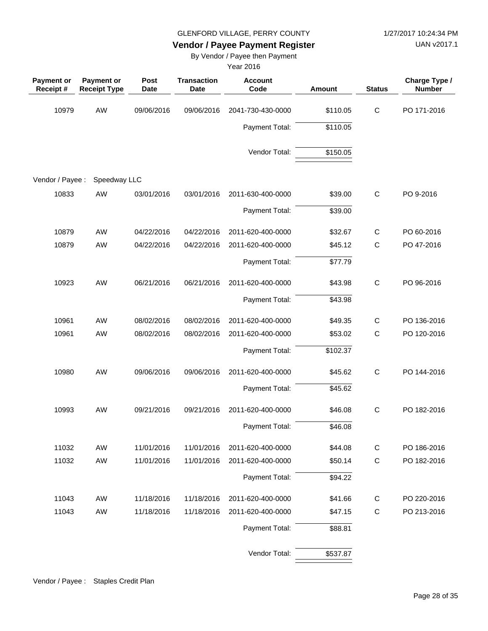UAN v2017.1

### **Vendor / Payee Payment Register**

By Vendor / Payee then Payment

| <b>Payment or</b><br>Receipt# | <b>Payment or</b><br><b>Receipt Type</b> | Post<br><b>Date</b> | <b>Transaction</b><br><b>Date</b> | <b>Account</b><br>Code | Amount   | <b>Status</b> | Charge Type /<br><b>Number</b> |
|-------------------------------|------------------------------------------|---------------------|-----------------------------------|------------------------|----------|---------------|--------------------------------|
| 10979                         | AW                                       | 09/06/2016          | 09/06/2016                        | 2041-730-430-0000      | \$110.05 | $\mathsf C$   | PO 171-2016                    |
|                               |                                          |                     |                                   | Payment Total:         | \$110.05 |               |                                |
|                               |                                          |                     |                                   | Vendor Total:          | \$150.05 |               |                                |
| Vendor / Payee :              | Speedway LLC                             |                     |                                   |                        |          |               |                                |
| 10833                         | AW                                       | 03/01/2016          | 03/01/2016                        | 2011-630-400-0000      | \$39.00  | $\mathsf C$   | PO 9-2016                      |
|                               |                                          |                     |                                   | Payment Total:         | \$39.00  |               |                                |
| 10879                         | AW                                       | 04/22/2016          | 04/22/2016                        | 2011-620-400-0000      | \$32.67  | $\mathsf{C}$  | PO 60-2016                     |
| 10879                         | AW                                       | 04/22/2016          | 04/22/2016                        | 2011-620-400-0000      | \$45.12  | $\mathsf{C}$  | PO 47-2016                     |
|                               |                                          |                     |                                   | Payment Total:         | \$77.79  |               |                                |
| 10923                         | AW                                       | 06/21/2016          | 06/21/2016                        | 2011-620-400-0000      | \$43.98  | $\mathsf{C}$  | PO 96-2016                     |
|                               |                                          |                     |                                   | Payment Total:         | \$43.98  |               |                                |
| 10961                         | AW                                       | 08/02/2016          | 08/02/2016                        | 2011-620-400-0000      | \$49.35  | C             | PO 136-2016                    |
| 10961                         | AW                                       | 08/02/2016          | 08/02/2016                        | 2011-620-400-0000      | \$53.02  | $\mathsf{C}$  | PO 120-2016                    |
|                               |                                          |                     |                                   | Payment Total:         | \$102.37 |               |                                |
| 10980                         | AW                                       | 09/06/2016          | 09/06/2016                        | 2011-620-400-0000      | \$45.62  | $\mathsf{C}$  | PO 144-2016                    |
|                               |                                          |                     |                                   | Payment Total:         | \$45.62  |               |                                |
| 10993                         | AW                                       | 09/21/2016          | 09/21/2016                        | 2011-620-400-0000      | \$46.08  | $\mathsf C$   | PO 182-2016                    |
|                               |                                          |                     |                                   | Payment Total:         | \$46.08  |               |                                |
| 11032                         | AW                                       | 11/01/2016          | 11/01/2016                        | 2011-620-400-0000      | \$44.08  | $\mathsf{C}$  | PO 186-2016                    |
| 11032                         | AW                                       | 11/01/2016          | 11/01/2016                        | 2011-620-400-0000      | \$50.14  | $\mathsf{C}$  | PO 182-2016                    |
|                               |                                          |                     |                                   | Payment Total:         | \$94.22  |               |                                |
| 11043                         | AW                                       | 11/18/2016          | 11/18/2016                        | 2011-620-400-0000      | \$41.66  | $\mathsf{C}$  | PO 220-2016                    |
| 11043                         | AW                                       | 11/18/2016          | 11/18/2016                        | 2011-620-400-0000      | \$47.15  | $\mathsf C$   | PO 213-2016                    |
|                               |                                          |                     |                                   | Payment Total:         | \$88.81  |               |                                |
|                               |                                          |                     |                                   | Vendor Total:          | \$537.87 |               |                                |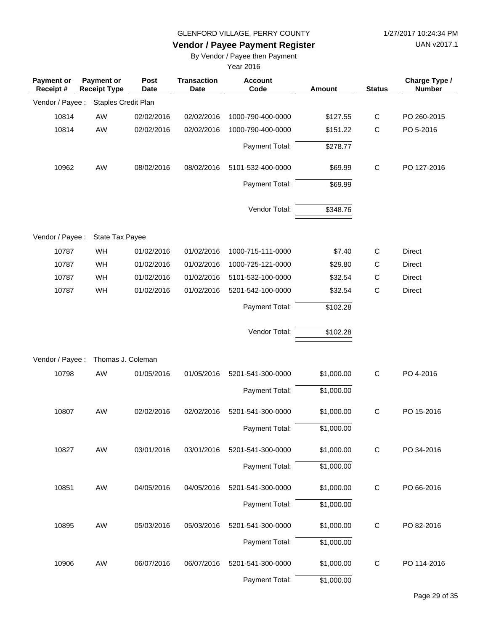UAN v2017.1

# **Vendor / Payee Payment Register**

By Vendor / Payee then Payment

| <b>Payment or</b><br>Receipt # | <b>Payment or</b><br><b>Receipt Type</b> | Post<br><b>Date</b> | <b>Transaction</b><br><b>Date</b> | <b>Account</b><br>Code | <b>Amount</b> | <b>Status</b> | Charge Type /<br><b>Number</b> |
|--------------------------------|------------------------------------------|---------------------|-----------------------------------|------------------------|---------------|---------------|--------------------------------|
| Vendor / Payee :               | Staples Credit Plan                      |                     |                                   |                        |               |               |                                |
| 10814                          | AW                                       | 02/02/2016          | 02/02/2016                        | 1000-790-400-0000      | \$127.55      | $\mathbf C$   | PO 260-2015                    |
| 10814                          | AW                                       | 02/02/2016          | 02/02/2016                        | 1000-790-400-0000      | \$151.22      | $\mathsf{C}$  | PO 5-2016                      |
|                                |                                          |                     |                                   | Payment Total:         | \$278.77      |               |                                |
| 10962                          | AW                                       | 08/02/2016          | 08/02/2016                        | 5101-532-400-0000      | \$69.99       | $\mathsf{C}$  | PO 127-2016                    |
|                                |                                          |                     |                                   | Payment Total:         | \$69.99       |               |                                |
|                                |                                          |                     |                                   | Vendor Total:          | \$348.76      |               |                                |
| Vendor / Payee :               | State Tax Payee                          |                     |                                   |                        |               |               |                                |
| 10787                          | WH                                       | 01/02/2016          | 01/02/2016                        | 1000-715-111-0000      | \$7.40        | $\mathsf C$   | Direct                         |
| 10787                          | WH                                       | 01/02/2016          | 01/02/2016                        | 1000-725-121-0000      | \$29.80       | C             | Direct                         |
| 10787                          | WH                                       | 01/02/2016          | 01/02/2016                        | 5101-532-100-0000      | \$32.54       | $\mathsf C$   | Direct                         |
| 10787                          | WH                                       | 01/02/2016          | 01/02/2016                        | 5201-542-100-0000      | \$32.54       | $\mathsf{C}$  | Direct                         |
|                                |                                          |                     |                                   | Payment Total:         | \$102.28      |               |                                |
|                                |                                          |                     |                                   | Vendor Total:          | \$102.28      |               |                                |
| Vendor / Payee :               | Thomas J. Coleman                        |                     |                                   |                        |               |               |                                |
| 10798                          | AW                                       | 01/05/2016          | 01/05/2016                        | 5201-541-300-0000      | \$1,000.00    | $\mathbf C$   | PO 4-2016                      |
|                                |                                          |                     |                                   | Payment Total:         | \$1,000.00    |               |                                |
| 10807                          | AW                                       | 02/02/2016          | 02/02/2016                        | 5201-541-300-0000      | \$1,000.00    | $\mathbf C$   | PO 15-2016                     |
|                                |                                          |                     |                                   | Payment Total:         | \$1,000.00    |               |                                |
| 10827                          | AW                                       | 03/01/2016          | 03/01/2016                        | 5201-541-300-0000      | \$1,000.00    | С             | PO 34-2016                     |
|                                |                                          |                     |                                   | Payment Total:         | \$1,000.00    |               |                                |
| 10851                          | AW                                       | 04/05/2016          | 04/05/2016                        | 5201-541-300-0000      | \$1,000.00    | $\mathbf C$   | PO 66-2016                     |
|                                |                                          |                     |                                   | Payment Total:         | \$1,000.00    |               |                                |
| 10895                          | AW                                       | 05/03/2016          | 05/03/2016                        | 5201-541-300-0000      | \$1,000.00    | $\mathsf{C}$  | PO 82-2016                     |
|                                |                                          |                     |                                   | Payment Total:         | \$1,000.00    |               |                                |
| 10906                          | AW                                       | 06/07/2016          | 06/07/2016                        | 5201-541-300-0000      | \$1,000.00    | C             | PO 114-2016                    |
|                                |                                          |                     |                                   | Payment Total:         | \$1,000.00    |               |                                |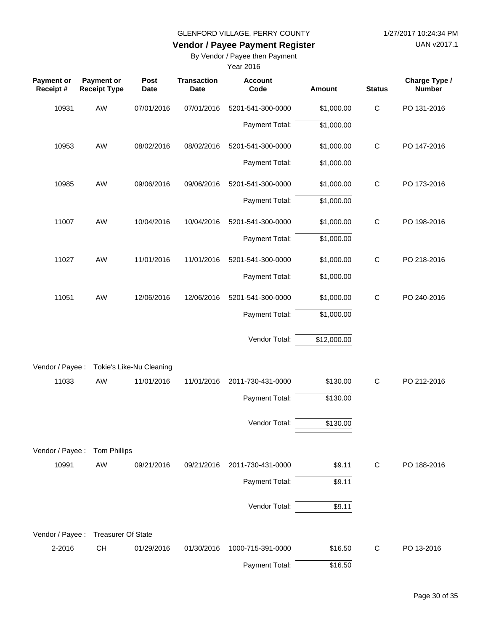UAN v2017.1

# **Vendor / Payee Payment Register**

By Vendor / Payee then Payment

| Payment or<br>Receipt #   | Payment or<br><b>Receipt Type</b> | Post<br>Date             | <b>Transaction</b><br><b>Date</b> | <b>Account</b><br>Code | <b>Amount</b> | <b>Status</b> | Charge Type /<br><b>Number</b> |
|---------------------------|-----------------------------------|--------------------------|-----------------------------------|------------------------|---------------|---------------|--------------------------------|
| 10931                     | AW                                | 07/01/2016               | 07/01/2016                        | 5201-541-300-0000      | \$1,000.00    | $\mathsf C$   | PO 131-2016                    |
|                           |                                   |                          |                                   | Payment Total:         | \$1,000.00    |               |                                |
| 10953                     | AW                                | 08/02/2016               | 08/02/2016                        | 5201-541-300-0000      | \$1,000.00    | $\mathbf C$   | PO 147-2016                    |
|                           |                                   |                          |                                   | Payment Total:         | \$1,000.00    |               |                                |
| 10985                     | AW                                | 09/06/2016               | 09/06/2016                        | 5201-541-300-0000      | \$1,000.00    | $\mathsf{C}$  | PO 173-2016                    |
|                           |                                   |                          |                                   | Payment Total:         | \$1,000.00    |               |                                |
| 11007                     | AW                                | 10/04/2016               | 10/04/2016                        | 5201-541-300-0000      | \$1,000.00    | $\mathsf C$   | PO 198-2016                    |
|                           |                                   |                          |                                   | Payment Total:         | \$1,000.00    |               |                                |
| 11027                     | AW                                | 11/01/2016               | 11/01/2016                        | 5201-541-300-0000      | \$1,000.00    | $\mathbf C$   | PO 218-2016                    |
|                           |                                   |                          |                                   | Payment Total:         | \$1,000.00    |               |                                |
| 11051                     | AW                                | 12/06/2016               | 12/06/2016                        | 5201-541-300-0000      | \$1,000.00    | $\mathsf{C}$  | PO 240-2016                    |
|                           |                                   |                          |                                   | Payment Total:         | \$1,000.00    |               |                                |
|                           |                                   |                          |                                   | Vendor Total:          | \$12,000.00   |               |                                |
| Vendor / Payee :          |                                   | Tokie's Like-Nu Cleaning |                                   |                        |               |               |                                |
| 11033                     | AW                                | 11/01/2016               | 11/01/2016                        | 2011-730-431-0000      | \$130.00      | $\mathsf C$   | PO 212-2016                    |
|                           |                                   |                          |                                   | Payment Total:         | \$130.00      |               |                                |
|                           |                                   |                          |                                   | Vendor Total:          | \$130.00      |               |                                |
|                           |                                   |                          |                                   |                        |               |               |                                |
| Vendor / Payee :<br>10991 | <b>Tom Phillips</b><br>AW         | 09/21/2016               | 09/21/2016                        | 2011-730-431-0000      | \$9.11        | C             | PO 188-2016                    |
|                           |                                   |                          |                                   | Payment Total:         | \$9.11        |               |                                |
|                           |                                   |                          |                                   | Vendor Total:          | \$9.11        |               |                                |
|                           |                                   |                          |                                   |                        |               |               |                                |
| Vendor / Payee :          | <b>Treasurer Of State</b>         |                          |                                   |                        |               |               |                                |
| 2-2016                    | CH                                | 01/29/2016               | 01/30/2016                        | 1000-715-391-0000      | \$16.50       | C             | PO 13-2016                     |
|                           |                                   |                          |                                   | Payment Total:         | \$16.50       |               |                                |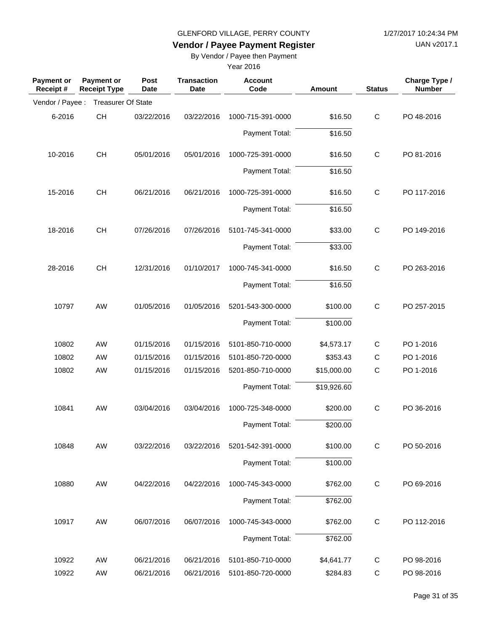UAN v2017.1

# **Vendor / Payee Payment Register**

By Vendor / Payee then Payment

| <b>Payment or</b><br>Receipt# | <b>Payment or</b><br><b>Receipt Type</b> | Post<br><b>Date</b> | <b>Transaction</b><br>Date | <b>Account</b><br>Code | <b>Amount</b>       | <b>Status</b> | Charge Type /<br><b>Number</b> |
|-------------------------------|------------------------------------------|---------------------|----------------------------|------------------------|---------------------|---------------|--------------------------------|
| Vendor / Payee :              | <b>Treasurer Of State</b>                |                     |                            |                        |                     |               |                                |
| 6-2016                        | CH                                       | 03/22/2016          | 03/22/2016                 | 1000-715-391-0000      | \$16.50             | $\mathsf C$   | PO 48-2016                     |
|                               |                                          |                     |                            | Payment Total:         | \$16.50             |               |                                |
| 10-2016                       | <b>CH</b>                                | 05/01/2016          | 05/01/2016                 | 1000-725-391-0000      | \$16.50             | $\mathsf C$   | PO 81-2016                     |
|                               |                                          |                     |                            | Payment Total:         | $\overline{$}16.50$ |               |                                |
| 15-2016                       | <b>CH</b>                                | 06/21/2016          | 06/21/2016                 | 1000-725-391-0000      | \$16.50             | $\mathsf C$   | PO 117-2016                    |
|                               |                                          |                     |                            | Payment Total:         | \$16.50             |               |                                |
| 18-2016                       | <b>CH</b>                                | 07/26/2016          | 07/26/2016                 | 5101-745-341-0000      | \$33.00             | $\mathsf C$   | PO 149-2016                    |
|                               |                                          |                     |                            | Payment Total:         | \$33.00             |               |                                |
| 28-2016                       | <b>CH</b>                                | 12/31/2016          | 01/10/2017                 | 1000-745-341-0000      | \$16.50             | $\mathsf C$   | PO 263-2016                    |
|                               |                                          |                     |                            | Payment Total:         | \$16.50             |               |                                |
| 10797                         | AW                                       | 01/05/2016          | 01/05/2016                 | 5201-543-300-0000      | \$100.00            | $\mathsf{C}$  | PO 257-2015                    |
|                               |                                          |                     |                            | Payment Total:         | \$100.00            |               |                                |
| 10802                         | AW                                       | 01/15/2016          | 01/15/2016                 | 5101-850-710-0000      | \$4,573.17          | $\mathsf{C}$  | PO 1-2016                      |
| 10802                         | AW                                       | 01/15/2016          | 01/15/2016                 | 5101-850-720-0000      | \$353.43            | $\mathsf{C}$  | PO 1-2016                      |
| 10802                         | AW                                       | 01/15/2016          | 01/15/2016                 | 5201-850-710-0000      | \$15,000.00         | $\mathsf C$   | PO 1-2016                      |
|                               |                                          |                     |                            | Payment Total:         | \$19,926.60         |               |                                |
| 10841                         | AW                                       | 03/04/2016          | 03/04/2016                 | 1000-725-348-0000      | \$200.00            | $\mathsf C$   | PO 36-2016                     |
|                               |                                          |                     |                            | Payment Total:         | \$200.00            |               |                                |
| 10848                         | AW                                       | 03/22/2016          | 03/22/2016                 | 5201-542-391-0000      | \$100.00            | $\mathbf C$   | PO 50-2016                     |
|                               |                                          |                     |                            | Payment Total:         | \$100.00            |               |                                |
| 10880                         | AW                                       | 04/22/2016          | 04/22/2016                 | 1000-745-343-0000      | \$762.00            | $\mathbf C$   | PO 69-2016                     |
|                               |                                          |                     |                            | Payment Total:         | \$762.00            |               |                                |
| 10917                         | AW                                       | 06/07/2016          | 06/07/2016                 | 1000-745-343-0000      | \$762.00            | $\mathsf C$   | PO 112-2016                    |
|                               |                                          |                     |                            | Payment Total:         | \$762.00            |               |                                |
| 10922                         | AW                                       | 06/21/2016          | 06/21/2016                 | 5101-850-710-0000      | \$4,641.77          | C             | PO 98-2016                     |
| 10922                         | AW                                       | 06/21/2016          | 06/21/2016                 | 5101-850-720-0000      | \$284.83            | C             | PO 98-2016                     |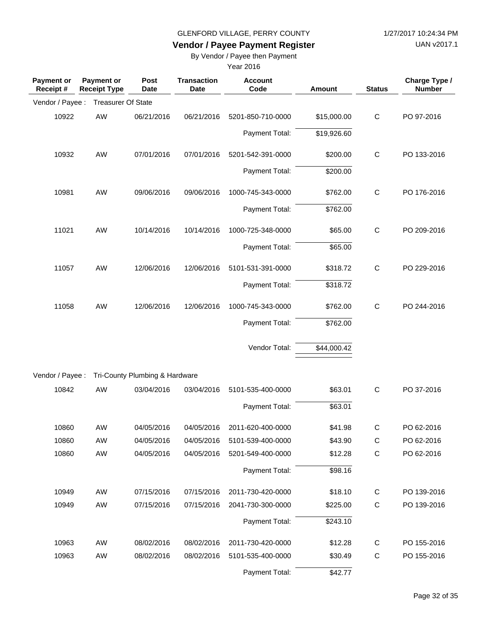UAN v2017.1

# **Vendor / Payee Payment Register**

By Vendor / Payee then Payment

| <b>Payment or</b><br>Receipt# | <b>Payment or</b><br><b>Receipt Type</b> | Post<br><b>Date</b>            | <b>Transaction</b><br><b>Date</b> | <b>Account</b><br>Code | <b>Amount</b> | <b>Status</b> | Charge Type /<br><b>Number</b> |
|-------------------------------|------------------------------------------|--------------------------------|-----------------------------------|------------------------|---------------|---------------|--------------------------------|
| Vendor / Payee :              | <b>Treasurer Of State</b>                |                                |                                   |                        |               |               |                                |
| 10922                         | AW                                       | 06/21/2016                     | 06/21/2016                        | 5201-850-710-0000      | \$15,000.00   | $\mathsf{C}$  | PO 97-2016                     |
|                               |                                          |                                |                                   | Payment Total:         | \$19,926.60   |               |                                |
| 10932                         | AW                                       | 07/01/2016                     | 07/01/2016                        | 5201-542-391-0000      | \$200.00      | $\mathsf{C}$  | PO 133-2016                    |
|                               |                                          |                                |                                   | Payment Total:         | \$200.00      |               |                                |
| 10981                         | <b>AW</b>                                | 09/06/2016                     | 09/06/2016                        | 1000-745-343-0000      | \$762.00      | $\mathsf{C}$  | PO 176-2016                    |
|                               |                                          |                                |                                   | Payment Total:         | \$762.00      |               |                                |
| 11021                         | <b>AW</b>                                | 10/14/2016                     | 10/14/2016                        | 1000-725-348-0000      | \$65.00       | $\mathsf{C}$  | PO 209-2016                    |
|                               |                                          |                                |                                   | Payment Total:         | \$65.00       |               |                                |
| 11057                         | <b>AW</b>                                | 12/06/2016                     | 12/06/2016                        | 5101-531-391-0000      | \$318.72      | $\mathsf{C}$  | PO 229-2016                    |
|                               |                                          |                                |                                   | Payment Total:         | \$318.72      |               |                                |
| 11058                         | <b>AW</b>                                | 12/06/2016                     | 12/06/2016                        | 1000-745-343-0000      | \$762.00      | $\mathsf{C}$  | PO 244-2016                    |
|                               |                                          |                                |                                   | Payment Total:         | \$762.00      |               |                                |
|                               |                                          |                                |                                   | Vendor Total:          | \$44,000.42   |               |                                |
| Vendor / Payee :              |                                          | Tri-County Plumbing & Hardware |                                   |                        |               |               |                                |
| 10842                         | AW                                       | 03/04/2016                     | 03/04/2016                        | 5101-535-400-0000      | \$63.01       | $\mathsf C$   | PO 37-2016                     |
|                               |                                          |                                |                                   | Payment Total:         | \$63.01       |               |                                |
| 10860                         | AW                                       | 04/05/2016                     | 04/05/2016                        | 2011-620-400-0000      | \$41.98       | C             | PO 62-2016                     |
| 10860                         | AW                                       | 04/05/2016                     | 04/05/2016                        | 5101-539-400-0000      | \$43.90       | $\mathsf C$   | PO 62-2016                     |
| 10860                         | AW                                       | 04/05/2016                     | 04/05/2016                        | 5201-549-400-0000      | \$12.28       | $\mathsf C$   | PO 62-2016                     |
|                               |                                          |                                |                                   | Payment Total:         | \$98.16       |               |                                |
| 10949                         | AW                                       | 07/15/2016                     | 07/15/2016                        | 2011-730-420-0000      | \$18.10       | $\mathsf{C}$  | PO 139-2016                    |
| 10949                         | AW                                       | 07/15/2016                     | 07/15/2016                        | 2041-730-300-0000      | \$225.00      | $\mathsf C$   | PO 139-2016                    |
|                               |                                          |                                |                                   | Payment Total:         | \$243.10      |               |                                |
| 10963                         | AW                                       | 08/02/2016                     | 08/02/2016                        | 2011-730-420-0000      | \$12.28       | $\mathsf{C}$  | PO 155-2016                    |
| 10963                         | AW                                       | 08/02/2016                     | 08/02/2016                        | 5101-535-400-0000      | \$30.49       | $\mathsf C$   | PO 155-2016                    |
|                               |                                          |                                |                                   | Payment Total:         | \$42.77       |               |                                |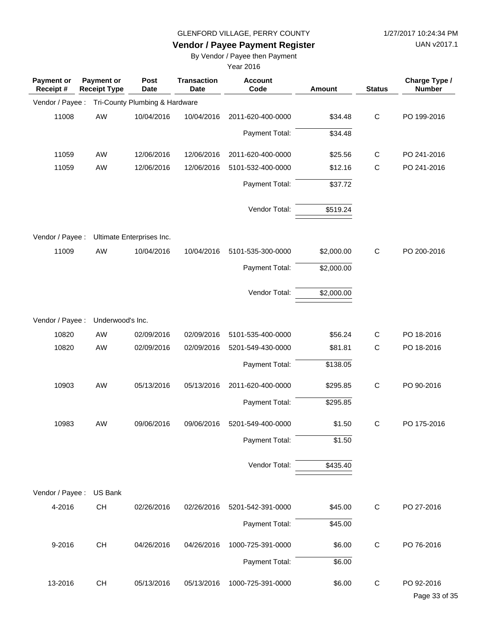UAN v2017.1

# **Vendor / Payee Payment Register**

By Vendor / Payee then Payment

| <b>Payment or</b><br>Receipt # | <b>Payment or</b><br><b>Receipt Type</b> | Post<br><b>Date</b>            | <b>Transaction</b><br><b>Date</b> | <b>Account</b><br>Code | Amount     | <b>Status</b> | Charge Type /<br><b>Number</b> |
|--------------------------------|------------------------------------------|--------------------------------|-----------------------------------|------------------------|------------|---------------|--------------------------------|
| Vendor / Payee :               |                                          | Tri-County Plumbing & Hardware |                                   |                        |            |               |                                |
| 11008                          | AW                                       | 10/04/2016                     | 10/04/2016                        | 2011-620-400-0000      | \$34.48    | $\mathsf{C}$  | PO 199-2016                    |
|                                |                                          |                                |                                   | Payment Total:         | \$34.48    |               |                                |
| 11059                          | AW                                       | 12/06/2016                     | 12/06/2016                        | 2011-620-400-0000      | \$25.56    | $\mathsf{C}$  | PO 241-2016                    |
| 11059                          | AW                                       | 12/06/2016                     | 12/06/2016                        | 5101-532-400-0000      | \$12.16    | $\mathsf{C}$  | PO 241-2016                    |
|                                |                                          |                                |                                   | Payment Total:         | \$37.72    |               |                                |
|                                |                                          |                                |                                   | Vendor Total:          | \$519.24   |               |                                |
|                                |                                          |                                |                                   |                        |            |               |                                |
| Vendor / Payee :               |                                          | Ultimate Enterprises Inc.      |                                   |                        |            | $\mathsf{C}$  |                                |
| 11009                          | AW                                       | 10/04/2016                     | 10/04/2016                        | 5101-535-300-0000      | \$2,000.00 |               | PO 200-2016                    |
|                                |                                          |                                |                                   | Payment Total:         | \$2,000.00 |               |                                |
|                                |                                          |                                |                                   | Vendor Total:          | \$2,000.00 |               |                                |
| Vendor / Payee :               | Underwood's Inc.                         |                                |                                   |                        |            |               |                                |
| 10820                          | AW                                       | 02/09/2016                     | 02/09/2016                        | 5101-535-400-0000      | \$56.24    | $\mathsf{C}$  | PO 18-2016                     |
| 10820                          | <b>AW</b>                                | 02/09/2016                     | 02/09/2016                        | 5201-549-430-0000      | \$81.81    | $\mathsf{C}$  | PO 18-2016                     |
|                                |                                          |                                |                                   | Payment Total:         | \$138.05   |               |                                |
| 10903                          | AW                                       | 05/13/2016                     | 05/13/2016                        | 2011-620-400-0000      | \$295.85   | $\mathsf{C}$  | PO 90-2016                     |
|                                |                                          |                                |                                   | Payment Total:         | \$295.85   |               |                                |
| 10983                          | AW                                       | 09/06/2016                     | 09/06/2016                        | 5201-549-400-0000      | \$1.50     | C             | PO 175-2016                    |
|                                |                                          |                                |                                   | Payment Total:         | \$1.50     |               |                                |
|                                |                                          |                                |                                   | Vendor Total:          | \$435.40   |               |                                |
| Vendor / Payee :               | US Bank                                  |                                |                                   |                        |            |               |                                |
| 4-2016                         | CH                                       | 02/26/2016                     | 02/26/2016                        | 5201-542-391-0000      | \$45.00    | $\mathsf{C}$  | PO 27-2016                     |
|                                |                                          |                                |                                   | Payment Total:         | \$45.00    |               |                                |
| 9-2016                         | <b>CH</b>                                | 04/26/2016                     | 04/26/2016                        | 1000-725-391-0000      | \$6.00     | $\mathsf{C}$  | PO 76-2016                     |
|                                |                                          |                                |                                   | Payment Total:         | \$6.00     |               |                                |
| 13-2016                        | <b>CH</b>                                | 05/13/2016                     | 05/13/2016                        | 1000-725-391-0000      | \$6.00     | C             | PO 92-2016                     |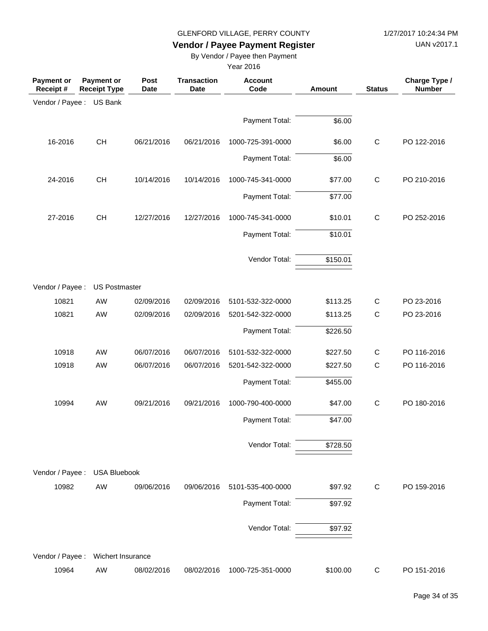UAN v2017.1

# **Vendor / Payee Payment Register**

By Vendor / Payee then Payment

| <b>Payment or</b><br>Receipt # | <b>Payment or</b><br><b>Receipt Type</b> | Post<br><b>Date</b> | <b>Transaction</b><br><b>Date</b> | <b>Account</b><br>Code | <b>Amount</b> | <b>Status</b> | Charge Type /<br><b>Number</b> |
|--------------------------------|------------------------------------------|---------------------|-----------------------------------|------------------------|---------------|---------------|--------------------------------|
| Vendor / Payee :               | US Bank                                  |                     |                                   |                        |               |               |                                |
|                                |                                          |                     |                                   | Payment Total:         | \$6.00        |               |                                |
| 16-2016                        | <b>CH</b>                                | 06/21/2016          | 06/21/2016                        | 1000-725-391-0000      | \$6.00        | $\mathsf{C}$  | PO 122-2016                    |
|                                |                                          |                     |                                   | Payment Total:         | \$6.00        |               |                                |
| 24-2016                        | <b>CH</b>                                | 10/14/2016          | 10/14/2016                        | 1000-745-341-0000      | \$77.00       | $\mathsf{C}$  | PO 210-2016                    |
|                                |                                          |                     |                                   | Payment Total:         | \$77.00       |               |                                |
| 27-2016                        | CH                                       | 12/27/2016          | 12/27/2016                        | 1000-745-341-0000      | \$10.01       | $\mathsf C$   | PO 252-2016                    |
|                                |                                          |                     |                                   | Payment Total:         | \$10.01       |               |                                |
|                                |                                          |                     |                                   | Vendor Total:          | \$150.01      |               |                                |
| Vendor / Payee :               | <b>US Postmaster</b>                     |                     |                                   |                        |               |               |                                |
| 10821                          | AW                                       | 02/09/2016          | 02/09/2016                        | 5101-532-322-0000      | \$113.25      | $\mathsf{C}$  | PO 23-2016                     |
| 10821                          | AW                                       | 02/09/2016          | 02/09/2016                        | 5201-542-322-0000      | \$113.25      | $\mathsf C$   | PO 23-2016                     |
|                                |                                          |                     |                                   | Payment Total:         | \$226.50      |               |                                |
| 10918                          | AW                                       | 06/07/2016          | 06/07/2016                        | 5101-532-322-0000      | \$227.50      | $\mathsf{C}$  | PO 116-2016                    |
| 10918                          | AW                                       | 06/07/2016          | 06/07/2016                        | 5201-542-322-0000      | \$227.50      | $\mathsf{C}$  | PO 116-2016                    |
|                                |                                          |                     |                                   | Payment Total:         | \$455.00      |               |                                |
| 10994                          | AW                                       | 09/21/2016          | 09/21/2016                        | 1000-790-400-0000      | \$47.00       | $\mathsf{C}$  | PO 180-2016                    |
|                                |                                          |                     |                                   | Payment Total:         | \$47.00       |               |                                |
|                                |                                          |                     |                                   | Vendor Total:          | \$728.50      |               |                                |
| Vendor / Payee :               | <b>USA Bluebook</b>                      |                     |                                   |                        |               |               |                                |
| 10982                          | AW                                       | 09/06/2016          | 09/06/2016                        | 5101-535-400-0000      | \$97.92       | $\mathsf{C}$  | PO 159-2016                    |
|                                |                                          |                     |                                   | Payment Total:         | \$97.92       |               |                                |
|                                |                                          |                     |                                   | Vendor Total:          | \$97.92       |               |                                |
| Vendor / Payee :               | Wichert Insurance                        |                     |                                   |                        |               |               |                                |
| 10964                          | AW                                       | 08/02/2016          | 08/02/2016                        | 1000-725-351-0000      | \$100.00      | $\mathsf{C}$  | PO 151-2016                    |